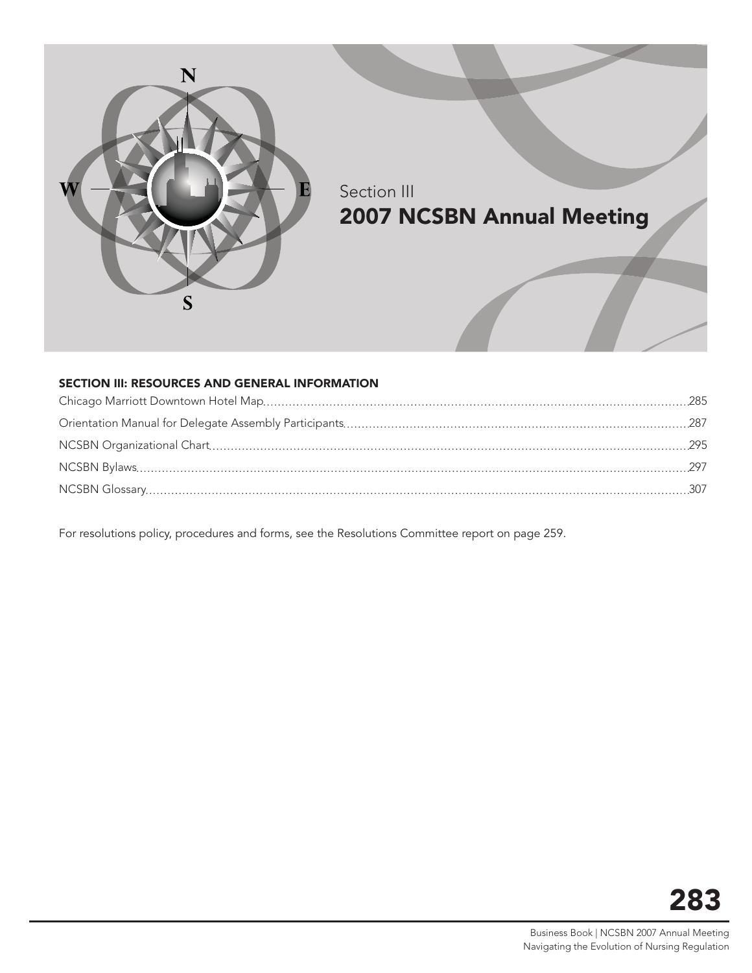

# Section III **2007 NCSBN Annual Meeting**

#### **SECTION III: RESOURCES AND GENERAL INFORMATION**

For resolutions policy, procedures and forms, see the Resolutions Committee report on page 259.

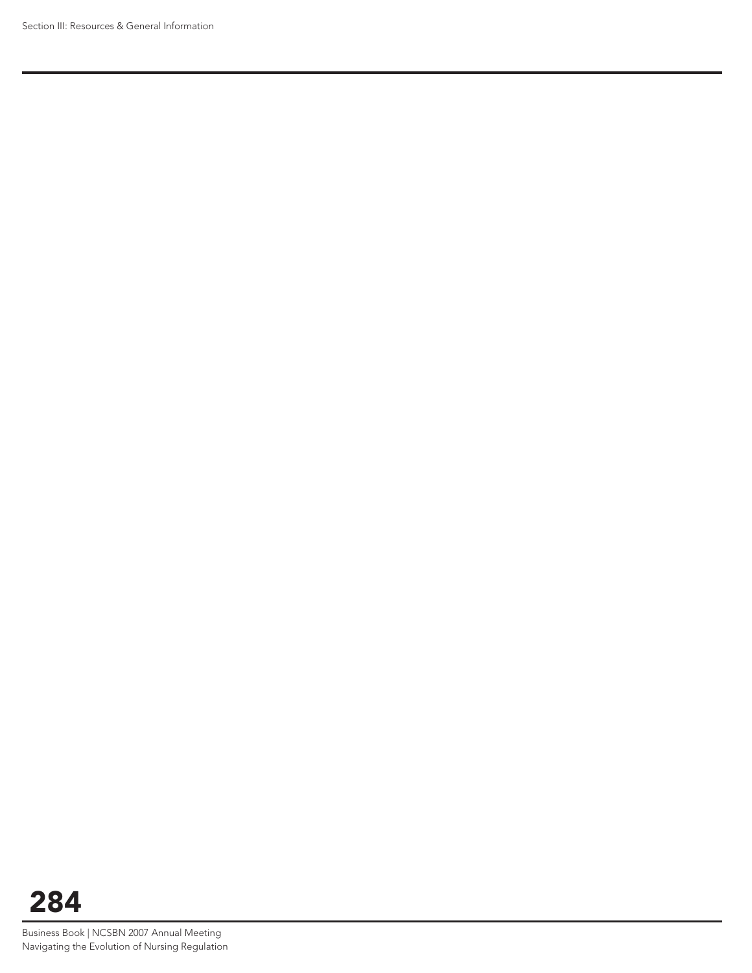# **284**

Business Book | NCSBN 2007 Annual Meeting Navigating the Evolution of Nursing Regulation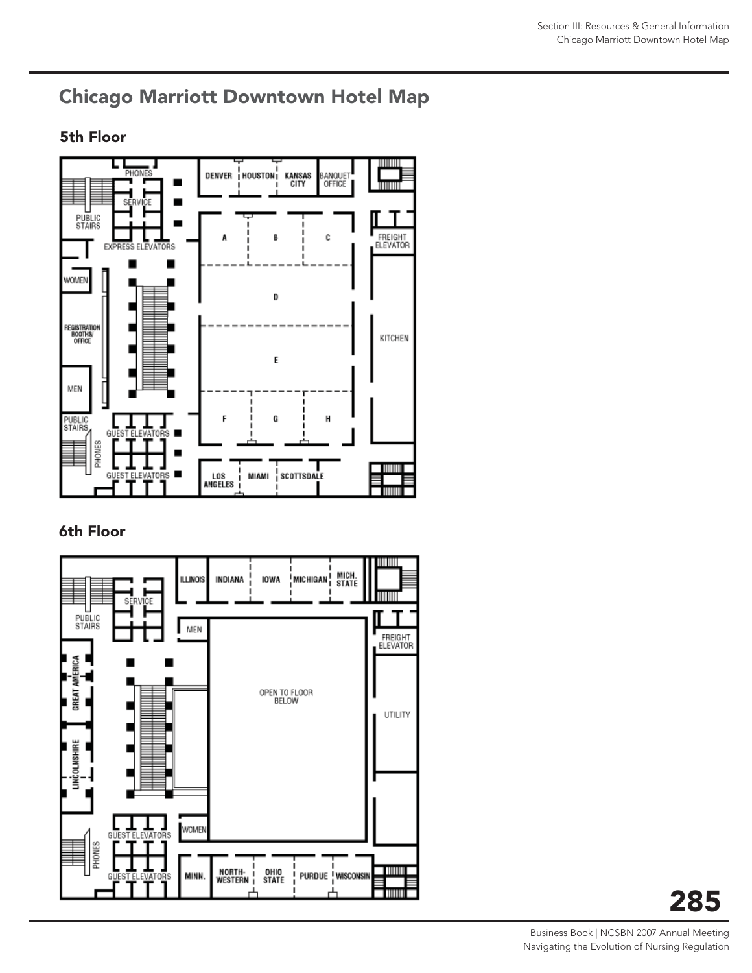# <span id="page-2-0"></span>**Chicago Marriott Downtown Hotel Map**

### **5th Floor**



## **6th Floor**

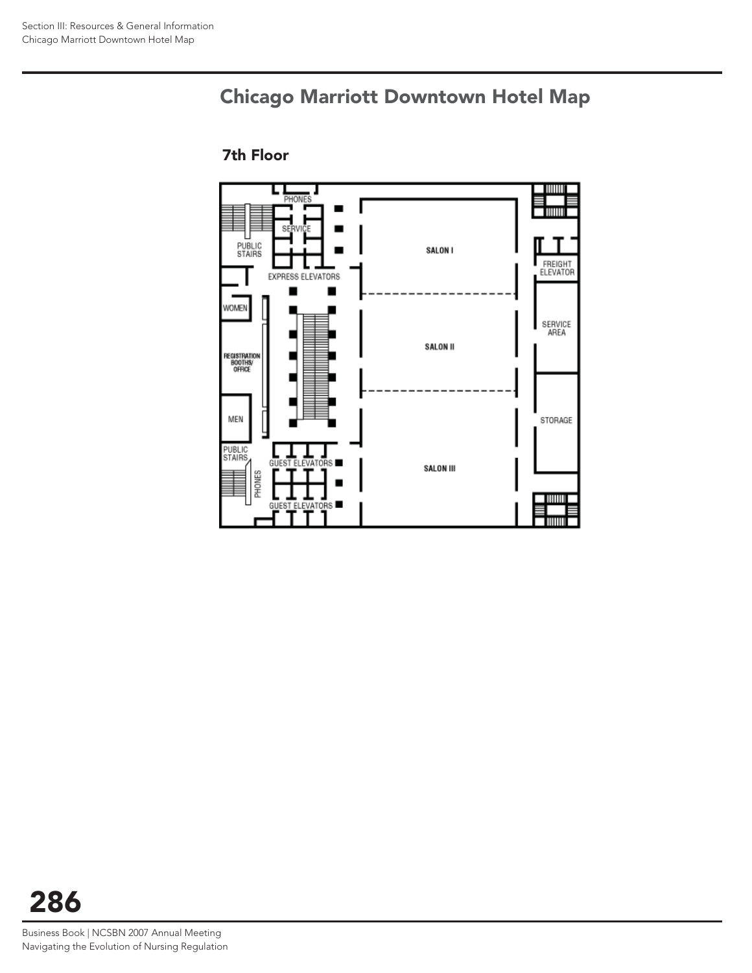# **Chicago Marriott Downtown Hotel Map**

### **7th Floor**

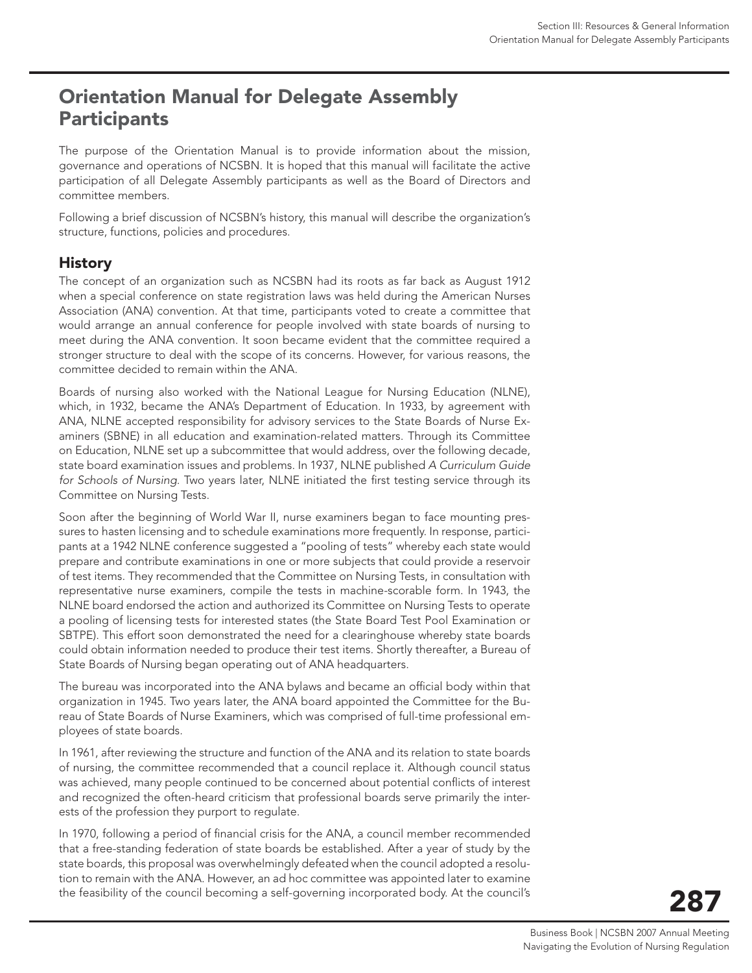# <span id="page-4-0"></span>**Orientation Manual for Delegate Assembly Participants**

The purpose of the Orientation Manual is to provide information about the mission, governance and operations of NCSBN. It is hoped that this manual will facilitate the active participation of all Delegate Assembly participants as well as the Board of Directors and committee members.

Following a brief discussion of NCSBN's history, this manual will describe the organization's structure, functions, policies and procedures.

### **History**

The concept of an organization such as NCSBN had its roots as far back as August 1912 when a special conference on state registration laws was held during the American Nurses Association (ANA) convention. At that time, participants voted to create a committee that would arrange an annual conference for people involved with state boards of nursing to meet during the ANA convention. It soon became evident that the committee required a stronger structure to deal with the scope of its concerns. However, for various reasons, the committee decided to remain within the ANA.

Boards of nursing also worked with the National League for Nursing Education (NLNE), which, in 1932, became the ANA's Department of Education. In 1933, by agreement with ANA, NLNE accepted responsibility for advisory services to the State Boards of Nurse Examiners (SBNE) in all education and examination-related matters. Through its Committee on Education, NLNE set up a subcommittee that would address, over the following decade, state board examination issues and problems. In 1937, NLNE published A Curriculum Guide for Schools of Nursing. Two years later, NLNE initiated the first testing service through its Committee on Nursing Tests.

Soon after the beginning of World War II, nurse examiners began to face mounting pressures to hasten licensing and to schedule examinations more frequently. In response, participants at a 1942 NLNE conference suggested a "pooling of tests" whereby each state would prepare and contribute examinations in one or more subjects that could provide a reservoir of test items. They recommended that the Committee on Nursing Tests, in consultation with representative nurse examiners, compile the tests in machine-scorable form. In 1943, the NLNE board endorsed the action and authorized its Committee on Nursing Tests to operate a pooling of licensing tests for interested states (the State Board Test Pool Examination or SBTPE). This effort soon demonstrated the need for a clearinghouse whereby state boards could obtain information needed to produce their test items. Shortly thereafter, a Bureau of State Boards of Nursing began operating out of ANA headquarters.

The bureau was incorporated into the ANA bylaws and became an official body within that organization in 1945. Two years later, the ANA board appointed the Committee for the Bureau of State Boards of Nurse Examiners, which was comprised of full-time professional employees of state boards.

In 1961, after reviewing the structure and function of the ANA and its relation to state boards of nursing, the committee recommended that a council replace it. Although council status was achieved, many people continued to be concerned about potential conflicts of interest and recognized the often-heard criticism that professional boards serve primarily the interests of the profession they purport to regulate.

In 1970, following a period of financial crisis for the ANA, a council member recommended that a free-standing federation of state boards be established. After a year of study by the state boards, this proposal was overwhelmingly defeated when the council adopted a resolution to remain with the ANA. However, an ad hoc committee was appointed later to examine the feasibility of the council becoming a self-governing incorporated body. At the council's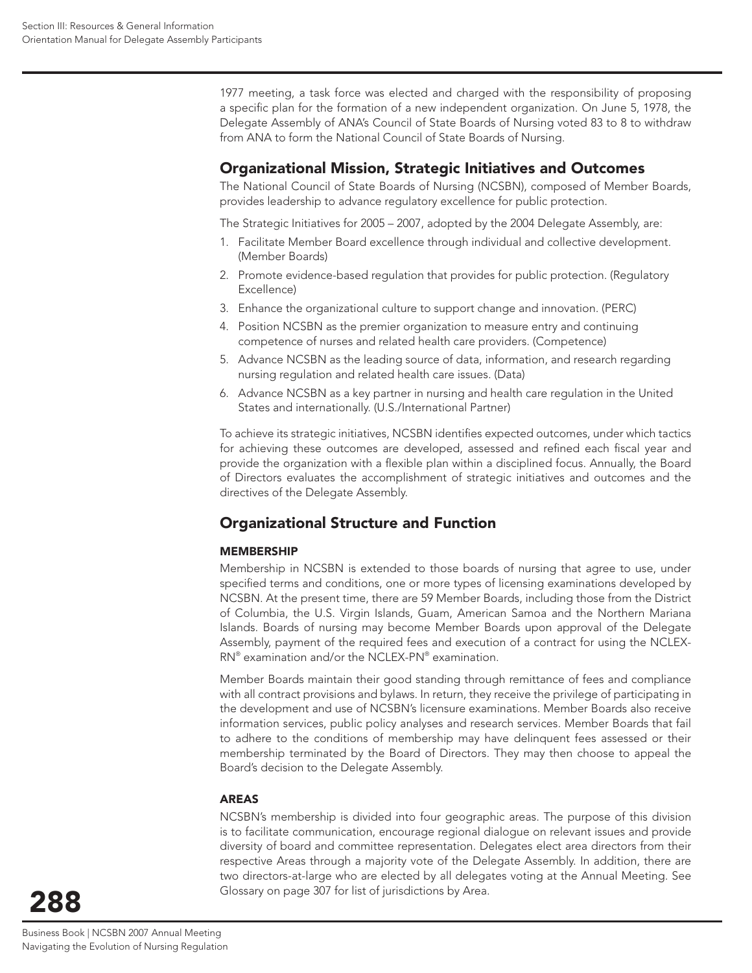1977 meeting, a task force was elected and charged with the responsibility of proposing a specific plan for the formation of a new independent organization. On June 5, 1978, the Delegate Assembly of ANA's Council of State Boards of Nursing voted 83 to 8 to withdraw from ANA to form the National Council of State Boards of Nursing.

### **Organizational Mission, Strategic Initiatives and Outcomes**

The National Council of State Boards of Nursing (NCSBN), composed of Member Boards, provides leadership to advance regulatory excellence for public protection.

The Strategic Initiatives for 2005 – 2007, adopted by the 2004 Delegate Assembly, are:

- 1. Facilitate Member Board excellence through individual and collective development. (Member Boards)
- 2. Promote evidence-based regulation that provides for public protection. (Regulatory Excellence)
- 3. Enhance the organizational culture to support change and innovation. (PERC)
- 4. Position NCSBN as the premier organization to measure entry and continuing competence of nurses and related health care providers. (Competence)
- 5. Advance NCSBN as the leading source of data, information, and research regarding nursing regulation and related health care issues. (Data)
- 6. Advance NCSBN as a key partner in nursing and health care regulation in the United States and internationally. (U.S./International Partner)

To achieve its strategic initiatives, NCSBN identifies expected outcomes, under which tactics for achieving these outcomes are developed, assessed and refined each fiscal year and provide the organization with a flexible plan within a disciplined focus. Annually, the Board of Directors evaluates the accomplishment of strategic initiatives and outcomes and the directives of the Delegate Assembly.

### **Organizational Structure and Function**

#### **MEMBERSHIP**

Membership in NCSBN is extended to those boards of nursing that agree to use, under specified terms and conditions, one or more types of licensing examinations developed by NCSBN. At the present time, there are 59 Member Boards, including those from the District of Columbia, the U.S. Virgin Islands, Guam, American Samoa and the Northern Mariana Islands. Boards of nursing may become Member Boards upon approval of the Delegate Assembly, payment of the required fees and execution of a contract for using the NCLEX-RN® examination and/or the NCLEX-PN® examination.

Member Boards maintain their good standing through remittance of fees and compliance with all contract provisions and bylaws. In return, they receive the privilege of participating in the development and use of NCSBN's licensure examinations. Member Boards also receive information services, public policy analyses and research services. Member Boards that fail to adhere to the conditions of membership may have delinquent fees assessed or their membership terminated by the Board of Directors. They may then choose to appeal the Board's decision to the Delegate Assembly.

#### **AREAS**

NCSBN's membership is divided into four geographic areas. The purpose of this division is to facilitate communication, encourage regional dialogue on relevant issues and provide diversity of board and committee representation. Delegates elect area directors from their respective Areas through a majority vote of the Delegate Assembly. In addition, there are two directors-at-large who are elected by all delegates voting at the Annual Meeting. See Glossary on page 307 for list of jurisdictions by Area.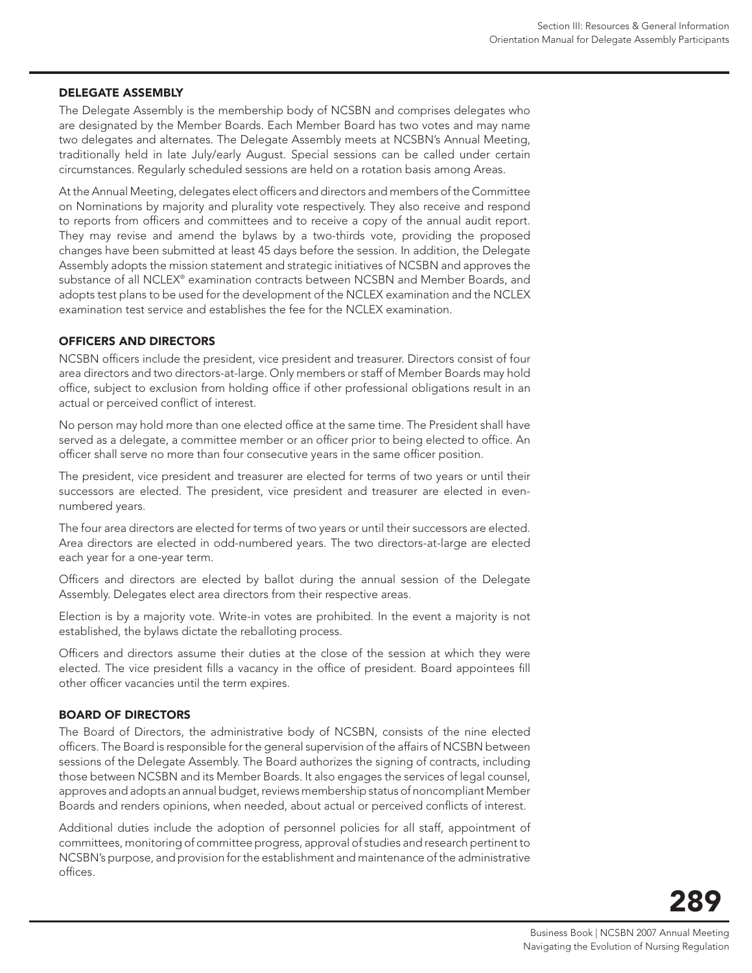#### **DELEGATE ASSEMBLY**

The Delegate Assembly is the membership body of NCSBN and comprises delegates who are designated by the Member Boards. Each Member Board has two votes and may name two delegates and alternates. The Delegate Assembly meets at NCSBN's Annual Meeting, traditionally held in late July/early August. Special sessions can be called under certain circumstances. Regularly scheduled sessions are held on a rotation basis among Areas.

At the Annual Meeting, delegates elect officers and directors and members of the Committee on Nominations by majority and plurality vote respectively. They also receive and respond to reports from officers and committees and to receive a copy of the annual audit report. They may revise and amend the bylaws by a two-thirds vote, providing the proposed changes have been submitted at least 45 days before the session. In addition, the Delegate Assembly adopts the mission statement and strategic initiatives of NCSBN and approves the substance of all NCLEX® examination contracts between NCSBN and Member Boards, and adopts test plans to be used for the development of the NCLEX examination and the NCLEX examination test service and establishes the fee for the NCLEX examination.

#### **OFFICERS AND DIRECTORS**

NCSBN officers include the president, vice president and treasurer. Directors consist of four area directors and two directors-at-large. Only members or staff of Member Boards may hold office, subject to exclusion from holding office if other professional obligations result in an actual or perceived conflict of interest.

No person may hold more than one elected office at the same time. The President shall have served as a delegate, a committee member or an officer prior to being elected to office. An officer shall serve no more than four consecutive years in the same officer position.

The president, vice president and treasurer are elected for terms of two years or until their successors are elected. The president, vice president and treasurer are elected in evennumbered years.

The four area directors are elected for terms of two years or until their successors are elected. Area directors are elected in odd-numbered years. The two directors-at-large are elected each year for a one-year term.

Officers and directors are elected by ballot during the annual session of the Delegate Assembly. Delegates elect area directors from their respective areas.

Election is by a majority vote. Write-in votes are prohibited. In the event a majority is not established, the bylaws dictate the reballoting process.

Officers and directors assume their duties at the close of the session at which they were elected. The vice president fills a vacancy in the office of president. Board appointees fill other officer vacancies until the term expires.

#### **BOARD OF DIRECTORS**

The Board of Directors, the administrative body of NCSBN, consists of the nine elected officers. The Board is responsible for the general supervision of the affairs of NCSBN between sessions of the Delegate Assembly. The Board authorizes the signing of contracts, including those between NCSBN and its Member Boards. It also engages the services of legal counsel, approves and adopts an annual budget, reviews membership status of noncompliant Member Boards and renders opinions, when needed, about actual or perceived conflicts of interest.

Additional duties include the adoption of personnel policies for all staff, appointment of committees, monitoring of committee progress, approval of studies and research pertinent to NCSBN's purpose, and provision for the establishment and maintenance of the administrative offices.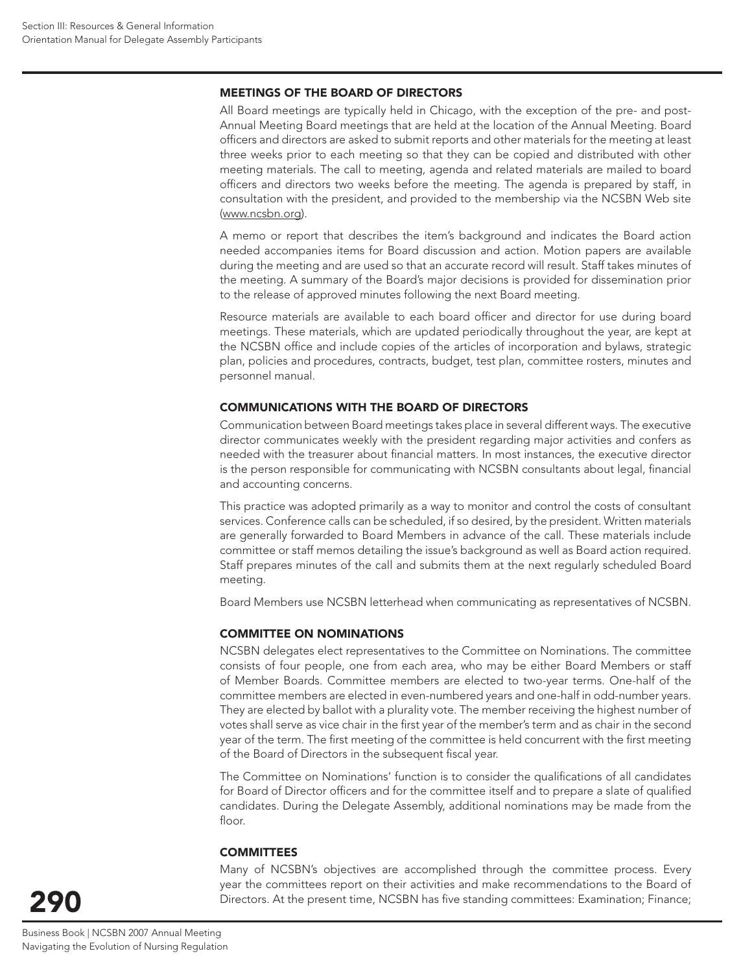#### **MEETINGS OF THE BOARD OF DIRECTORS**

All Board meetings are typically held in Chicago, with the exception of the pre- and post-Annual Meeting Board meetings that are held at the location of the Annual Meeting. Board officers and directors are asked to submit reports and other materials for the meeting at least three weeks prior to each meeting so that they can be copied and distributed with other meeting materials. The call to meeting, agenda and related materials are mailed to board officers and directors two weeks before the meeting. The agenda is prepared by staff, in consultation with the president, and provided to the membership via the NCSBN Web site (www.ncsbn.org).

A memo or report that describes the item's background and indicates the Board action needed accompanies items for Board discussion and action. Motion papers are available during the meeting and are used so that an accurate record will result. Staff takes minutes of the meeting. A summary of the Board's major decisions is provided for dissemination prior to the release of approved minutes following the next Board meeting.

Resource materials are available to each board officer and director for use during board meetings. These materials, which are updated periodically throughout the year, are kept at the NCSBN office and include copies of the articles of incorporation and bylaws, strategic plan, policies and procedures, contracts, budget, test plan, committee rosters, minutes and personnel manual.

#### **COMMUNICATIONS WITH THE BOARD OF DIRECTORS**

Communication between Board meetings takes place in several different ways. The executive director communicates weekly with the president regarding major activities and confers as needed with the treasurer about financial matters. In most instances, the executive director is the person responsible for communicating with NCSBN consultants about legal, financial and accounting concerns.

This practice was adopted primarily as a way to monitor and control the costs of consultant services. Conference calls can be scheduled, if so desired, by the president. Written materials are generally forwarded to Board Members in advance of the call. These materials include committee or staff memos detailing the issue's background as well as Board action required. Staff prepares minutes of the call and submits them at the next regularly scheduled Board meeting.

Board Members use NCSBN letterhead when communicating as representatives of NCSBN.

#### **COMMITTEE ON NOMINATIONS**

NCSBN delegates elect representatives to the Committee on Nominations. The committee consists of four people, one from each area, who may be either Board Members or staff of Member Boards. Committee members are elected to two-year terms. One-half of the committee members are elected in even-numbered years and one-half in odd-number years. They are elected by ballot with a plurality vote. The member receiving the highest number of votes shall serve as vice chair in the first year of the member's term and as chair in the second year of the term. The first meeting of the committee is held concurrent with the first meeting of the Board of Directors in the subsequent fiscal year.

The Committee on Nominations' function is to consider the qualifications of all candidates for Board of Director officers and for the committee itself and to prepare a slate of qualified candidates. During the Delegate Assembly, additional nominations may be made from the floor.

#### **COMMITTEES**

Many of NCSBN's objectives are accomplished through the committee process. Every year the committees report on their activities and make recommendations to the Board of Directors. At the present time, NCSBN has five standing committees: Examination; Finance;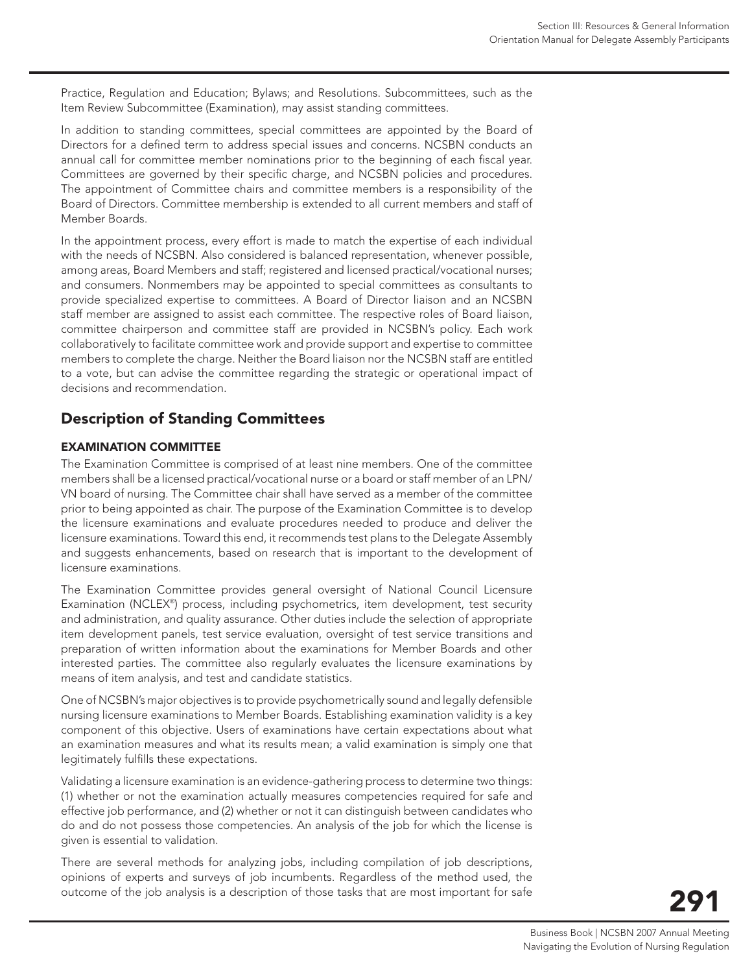Practice, Regulation and Education; Bylaws; and Resolutions. Subcommittees, such as the Item Review Subcommittee (Examination), may assist standing committees.

In addition to standing committees, special committees are appointed by the Board of Directors for a defined term to address special issues and concerns. NCSBN conducts an annual call for committee member nominations prior to the beginning of each fiscal year. Committees are governed by their specific charge, and NCSBN policies and procedures. The appointment of Committee chairs and committee members is a responsibility of the Board of Directors. Committee membership is extended to all current members and staff of Member Boards.

In the appointment process, every effort is made to match the expertise of each individual with the needs of NCSBN. Also considered is balanced representation, whenever possible, among areas, Board Members and staff; registered and licensed practical/vocational nurses; and consumers. Nonmembers may be appointed to special committees as consultants to provide specialized expertise to committees. A Board of Director liaison and an NCSBN staff member are assigned to assist each committee. The respective roles of Board liaison, committee chairperson and committee staff are provided in NCSBN's policy. Each work collaboratively to facilitate committee work and provide support and expertise to committee members to complete the charge. Neither the Board liaison nor the NCSBN staff are entitled to a vote, but can advise the committee regarding the strategic or operational impact of decisions and recommendation.

### **Description of Standing Committees**

#### **EXAMINATION COMMITTEE**

The Examination Committee is comprised of at least nine members. One of the committee members shall be a licensed practical/vocational nurse or a board or staff member of an LPN/ VN board of nursing. The Committee chair shall have served as a member of the committee prior to being appointed as chair. The purpose of the Examination Committee is to develop the licensure examinations and evaluate procedures needed to produce and deliver the licensure examinations. Toward this end, it recommends test plans to the Delegate Assembly and suggests enhancements, based on research that is important to the development of licensure examinations.

The Examination Committee provides general oversight of National Council Licensure Examination (NCLEX® ) process, including psychometrics, item development, test security and administration, and quality assurance. Other duties include the selection of appropriate item development panels, test service evaluation, oversight of test service transitions and preparation of written information about the examinations for Member Boards and other interested parties. The committee also regularly evaluates the licensure examinations by means of item analysis, and test and candidate statistics.

One of NCSBN's major objectives is to provide psychometrically sound and legally defensible nursing licensure examinations to Member Boards. Establishing examination validity is a key component of this objective. Users of examinations have certain expectations about what an examination measures and what its results mean; a valid examination is simply one that legitimately fulfills these expectations.

Validating a licensure examination is an evidence-gathering process to determine two things: (1) whether or not the examination actually measures competencies required for safe and effective job performance, and (2) whether or not it can distinguish between candidates who do and do not possess those competencies. An analysis of the job for which the license is given is essential to validation.

There are several methods for analyzing jobs, including compilation of job descriptions, opinions of experts and surveys of job incumbents. Regardless of the method used, the outcome of the job analysis is a description of those tasks that are most important for safe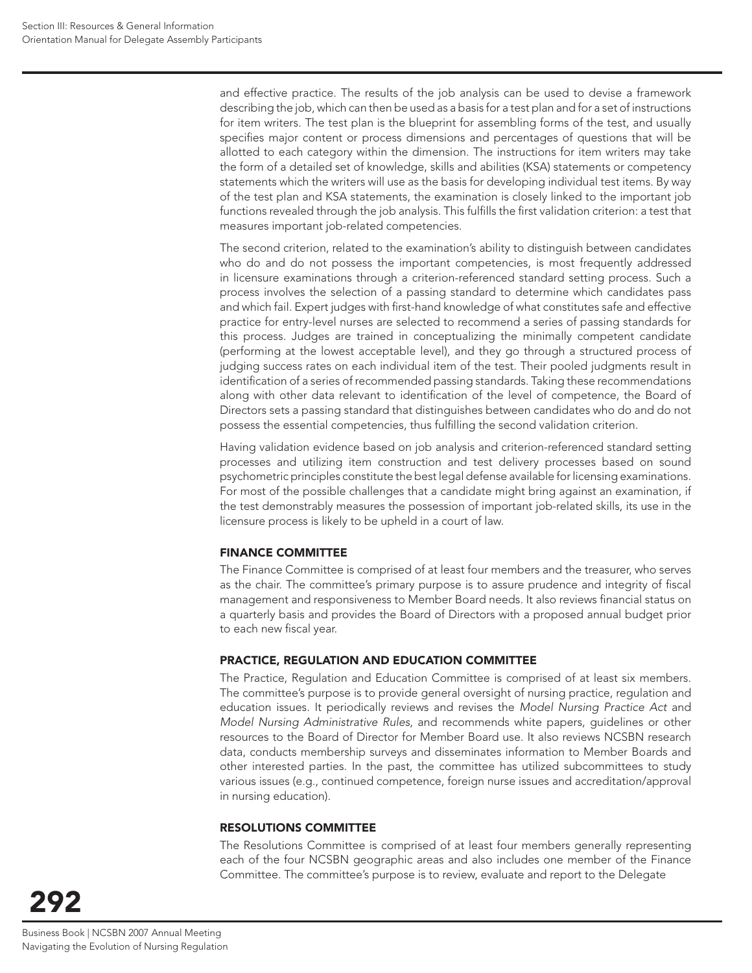and effective practice. The results of the job analysis can be used to devise a framework describing the job, which can then be used as a basis for a test plan and for a set of instructions for item writers. The test plan is the blueprint for assembling forms of the test, and usually specifies major content or process dimensions and percentages of questions that will be allotted to each category within the dimension. The instructions for item writers may take the form of a detailed set of knowledge, skills and abilities (KSA) statements or competency statements which the writers will use as the basis for developing individual test items. By way of the test plan and KSA statements, the examination is closely linked to the important job functions revealed through the job analysis. This fulfills the first validation criterion: a test that measures important job-related competencies.

The second criterion, related to the examination's ability to distinguish between candidates who do and do not possess the important competencies, is most frequently addressed in licensure examinations through a criterion-referenced standard setting process. Such a process involves the selection of a passing standard to determine which candidates pass and which fail. Expert judges with first-hand knowledge of what constitutes safe and effective practice for entry-level nurses are selected to recommend a series of passing standards for this process. Judges are trained in conceptualizing the minimally competent candidate (performing at the lowest acceptable level), and they go through a structured process of judging success rates on each individual item of the test. Their pooled judgments result in identification of a series of recommended passing standards. Taking these recommendations along with other data relevant to identification of the level of competence, the Board of Directors sets a passing standard that distinguishes between candidates who do and do not possess the essential competencies, thus fulfilling the second validation criterion.

Having validation evidence based on job analysis and criterion-referenced standard setting processes and utilizing item construction and test delivery processes based on sound psychometric principles constitute the best legal defense available for licensing examinations. For most of the possible challenges that a candidate might bring against an examination, if the test demonstrably measures the possession of important job-related skills, its use in the licensure process is likely to be upheld in a court of law.

#### **FINANCE COMMITTEE**

The Finance Committee is comprised of at least four members and the treasurer, who serves as the chair. The committee's primary purpose is to assure prudence and integrity of fiscal management and responsiveness to Member Board needs. It also reviews financial status on a quarterly basis and provides the Board of Directors with a proposed annual budget prior to each new fiscal year.

#### **PRACTICE, REGULATION AND EDUCATION COMMITTEE**

The Practice, Regulation and Education Committee is comprised of at least six members. The committee's purpose is to provide general oversight of nursing practice, regulation and education issues. It periodically reviews and revises the Model Nursing Practice Act and Model Nursing Administrative Rules, and recommends white papers, guidelines or other resources to the Board of Director for Member Board use. It also reviews NCSBN research data, conducts membership surveys and disseminates information to Member Boards and other interested parties. In the past, the committee has utilized subcommittees to study various issues (e.g., continued competence, foreign nurse issues and accreditation/approval in nursing education).

#### **RESOLUTIONS COMMITTEE**

The Resolutions Committee is comprised of at least four members generally representing each of the four NCSBN geographic areas and also includes one member of the Finance Committee. The committee's purpose is to review, evaluate and report to the Delegate

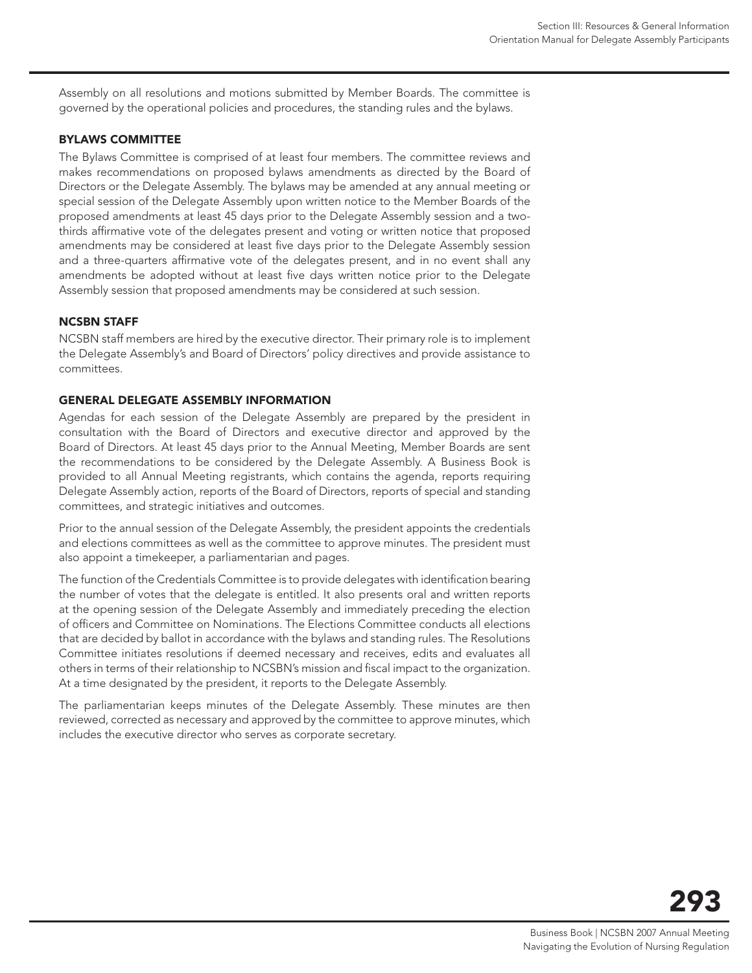Assembly on all resolutions and motions submitted by Member Boards. The committee is governed by the operational policies and procedures, the standing rules and the bylaws.

#### **BYLAWS COMMITTEE**

The Bylaws Committee is comprised of at least four members. The committee reviews and makes recommendations on proposed bylaws amendments as directed by the Board of Directors or the Delegate Assembly. The bylaws may be amended at any annual meeting or special session of the Delegate Assembly upon written notice to the Member Boards of the proposed amendments at least 45 days prior to the Delegate Assembly session and a twothirds affirmative vote of the delegates present and voting or written notice that proposed amendments may be considered at least five days prior to the Delegate Assembly session and a three-quarters affirmative vote of the delegates present, and in no event shall any amendments be adopted without at least five days written notice prior to the Delegate Assembly session that proposed amendments may be considered at such session.

#### **NCSBN STAFF**

NCSBN staff members are hired by the executive director. Their primary role is to implement the Delegate Assembly's and Board of Directors' policy directives and provide assistance to committees.

#### **GENERAL DELEGATE ASSEMBLY INFORMATION**

Agendas for each session of the Delegate Assembly are prepared by the president in consultation with the Board of Directors and executive director and approved by the Board of Directors. At least 45 days prior to the Annual Meeting, Member Boards are sent the recommendations to be considered by the Delegate Assembly. A Business Book is provided to all Annual Meeting registrants, which contains the agenda, reports requiring Delegate Assembly action, reports of the Board of Directors, reports of special and standing committees, and strategic initiatives and outcomes.

Prior to the annual session of the Delegate Assembly, the president appoints the credentials and elections committees as well as the committee to approve minutes. The president must also appoint a timekeeper, a parliamentarian and pages.

The function of the Credentials Committee is to provide delegates with identification bearing the number of votes that the delegate is entitled. It also presents oral and written reports at the opening session of the Delegate Assembly and immediately preceding the election of officers and Committee on Nominations. The Elections Committee conducts all elections that are decided by ballot in accordance with the bylaws and standing rules. The Resolutions Committee initiates resolutions if deemed necessary and receives, edits and evaluates all others in terms of their relationship to NCSBN's mission and fiscal impact to the organization. At a time designated by the president, it reports to the Delegate Assembly.

The parliamentarian keeps minutes of the Delegate Assembly. These minutes are then reviewed, corrected as necessary and approved by the committee to approve minutes, which includes the executive director who serves as corporate secretary.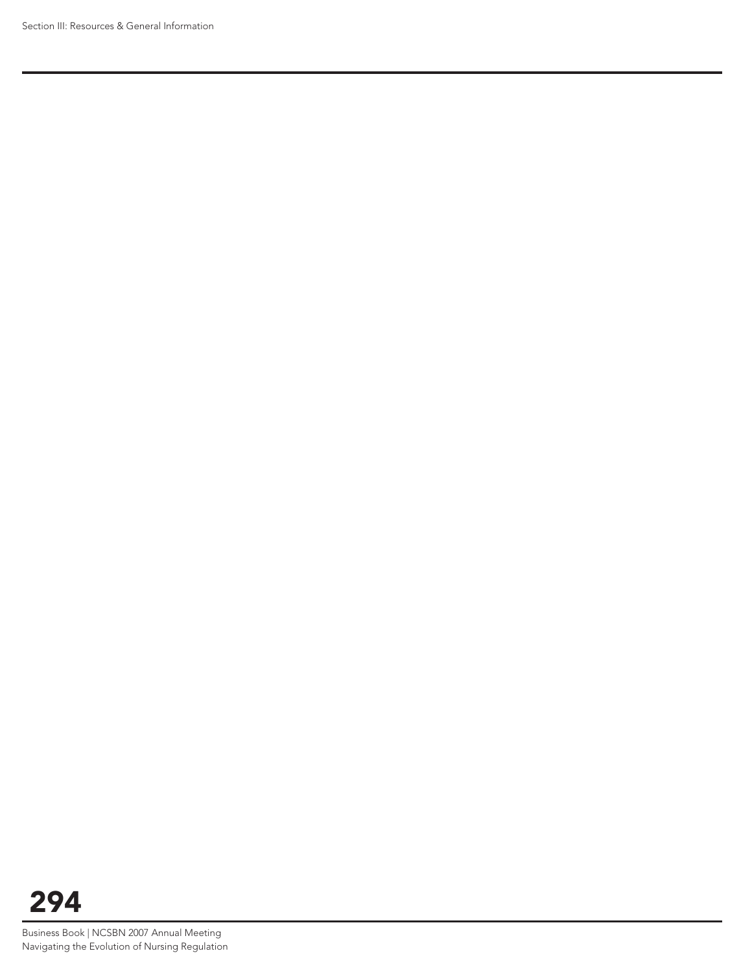# **294**

Business Book | NCSBN 2007 Annual Meeting Navigating the Evolution of Nursing Regulation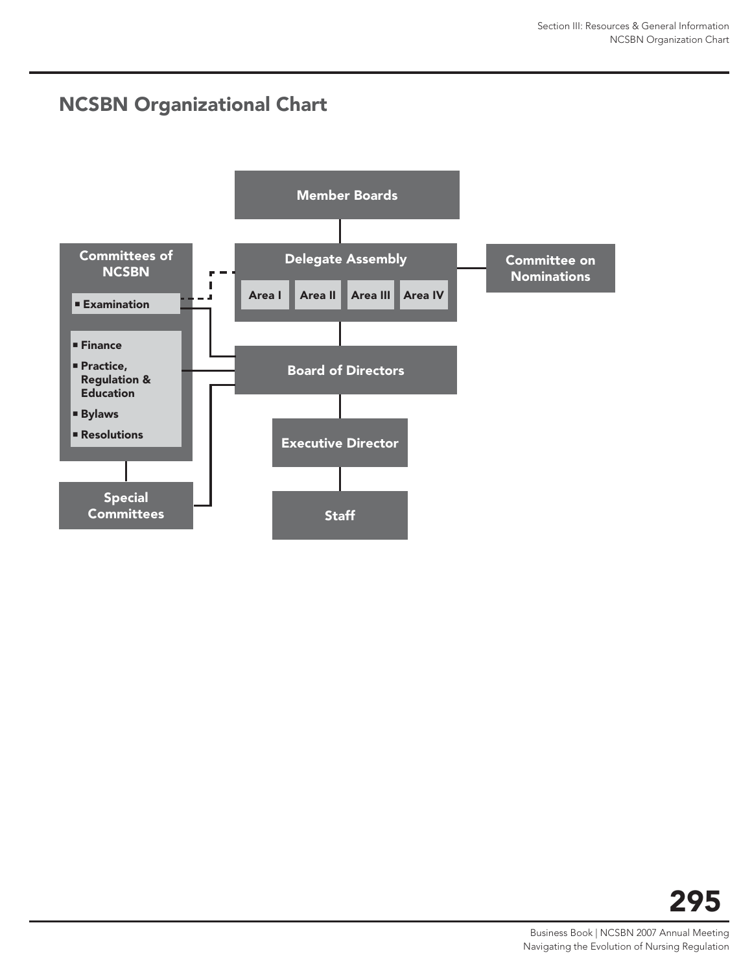# <span id="page-12-0"></span>**NCSBN Organizational Chart**



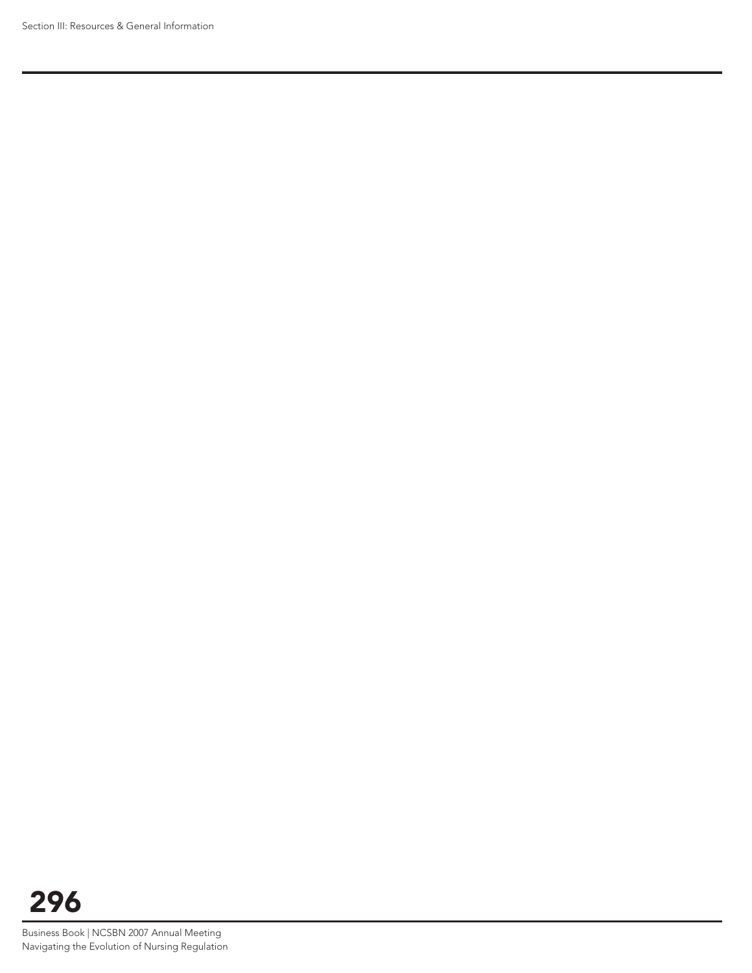# **296**

Business Book | NCSBN 2007 Annual Meeting Navigating the Evolution of Nursing Regulation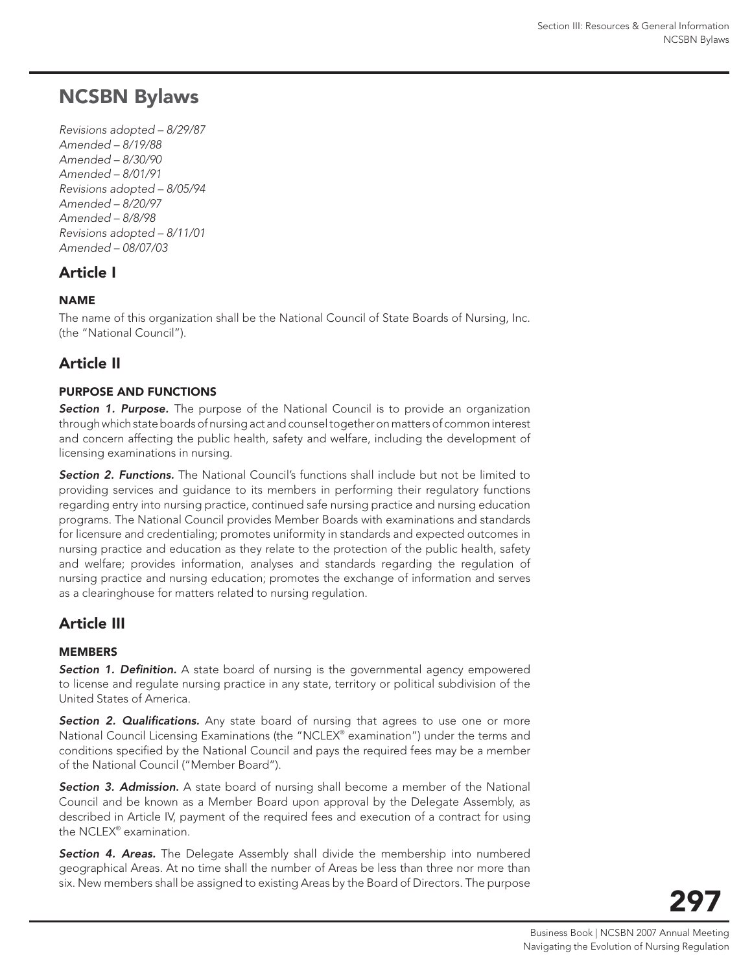# <span id="page-14-0"></span>**NCSBN Bylaws**

Revisions adopted – 8/29/87 Amended – 8/19/88 Amended – 8/30/90 Amended – 8/01/91 Revisions adopted – 8/05/94 Amended – 8/20/97 Amended – 8/8/98 Revisions adopted – 8/11/01 Amended – 08/07/03

### **Article I**

### **NAME**

The name of this organization shall be the National Council of State Boards of Nursing, Inc. (the "National Council").

## **Article II**

### **PURPOSE AND FUNCTIONS**

**Section 1. Purpose.** The purpose of the National Council is to provide an organization through which state boards of nursing act and counsel together on matters of common interest and concern affecting the public health, safety and welfare, including the development of licensing examinations in nursing.

**Section 2. Functions.** The National Council's functions shall include but not be limited to providing services and guidance to its members in performing their regulatory functions regarding entry into nursing practice, continued safe nursing practice and nursing education programs. The National Council provides Member Boards with examinations and standards for licensure and credentialing; promotes uniformity in standards and expected outcomes in nursing practice and education as they relate to the protection of the public health, safety and welfare; provides information, analyses and standards regarding the regulation of nursing practice and nursing education; promotes the exchange of information and serves as a clearinghouse for matters related to nursing regulation.

## **Article III**

### **MEMBERS**

**Section 1. Definition.** A state board of nursing is the governmental agency empowered to license and regulate nursing practice in any state, territory or political subdivision of the United States of America.

*Section 2. Qualifications.* Any state board of nursing that agrees to use one or more National Council Licensing Examinations (the "NCLEX® examination") under the terms and conditions specified by the National Council and pays the required fees may be a member of the National Council ("Member Board").

**Section 3. Admission.** A state board of nursing shall become a member of the National Council and be known as a Member Board upon approval by the Delegate Assembly, as described in Article IV, payment of the required fees and execution of a contract for using the NCLEX® examination.

*Section 4. Areas.* The Delegate Assembly shall divide the membership into numbered geographical Areas. At no time shall the number of Areas be less than three nor more than six. New members shall be assigned to existing Areas by the Board of Directors. The purpose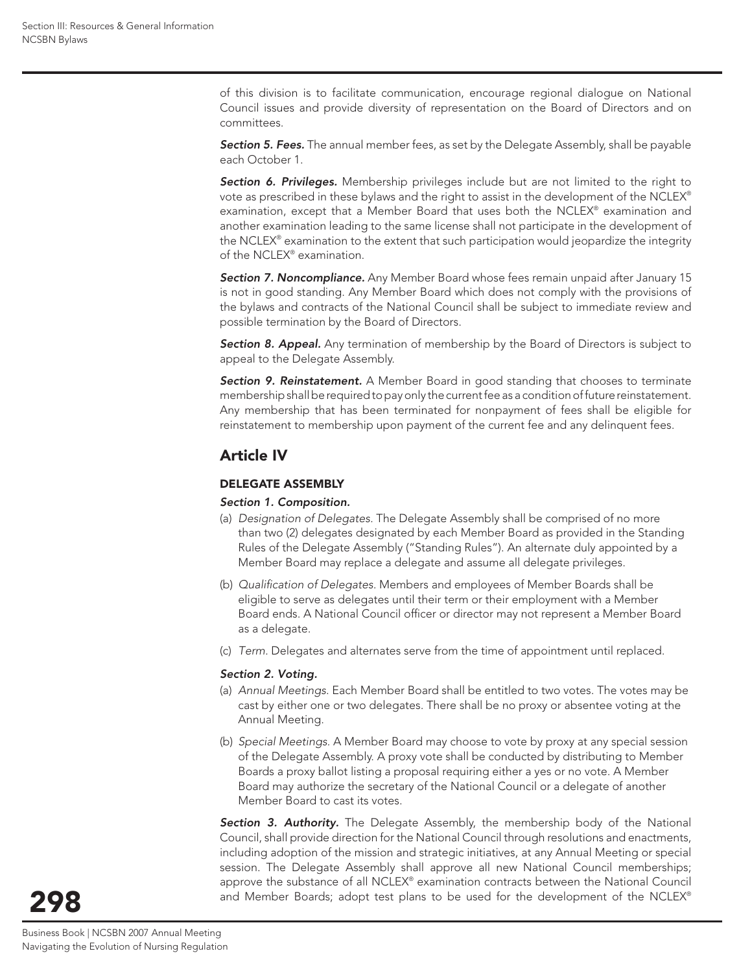of this division is to facilitate communication, encourage regional dialogue on National Council issues and provide diversity of representation on the Board of Directors and on committees.

*Section 5. Fees.* The annual member fees, as set by the Delegate Assembly, shall be payable each October 1.

*Section 6. Privileges.* Membership privileges include but are not limited to the right to vote as prescribed in these bylaws and the right to assist in the development of the NCLEX® examination, except that a Member Board that uses both the NCLEX® examination and another examination leading to the same license shall not participate in the development of the NCLEX® examination to the extent that such participation would jeopardize the integrity of the NCLEX® examination.

*Section 7. Noncompliance.* Any Member Board whose fees remain unpaid after January 15 is not in good standing. Any Member Board which does not comply with the provisions of the bylaws and contracts of the National Council shall be subject to immediate review and possible termination by the Board of Directors.

*Section 8. Appeal.* Any termination of membership by the Board of Directors is subject to appeal to the Delegate Assembly.

*Section 9. Reinstatement.* A Member Board in good standing that chooses to terminate membership shall be required to pay only the current fee as a condition of future reinstatement. Any membership that has been terminated for nonpayment of fees shall be eligible for reinstatement to membership upon payment of the current fee and any delinquent fees.

### **Article IV**

#### **DELEGATE ASSEMBLY**

#### *Section 1. Composition.*

- (a) Designation of Delegates. The Delegate Assembly shall be comprised of no more than two (2) delegates designated by each Member Board as provided in the Standing Rules of the Delegate Assembly ("Standing Rules"). An alternate duly appointed by a Member Board may replace a delegate and assume all delegate privileges.
- (b) Qualification of Delegates. Members and employees of Member Boards shall be eligible to serve as delegates until their term or their employment with a Member Board ends. A National Council officer or director may not represent a Member Board as a delegate.
- (c) Term. Delegates and alternates serve from the time of appointment until replaced.

#### *Section 2. Voting.*

- (a) Annual Meetings. Each Member Board shall be entitled to two votes. The votes may be cast by either one or two delegates. There shall be no proxy or absentee voting at the Annual Meeting.
- (b) Special Meetings. A Member Board may choose to vote by proxy at any special session of the Delegate Assembly. A proxy vote shall be conducted by distributing to Member Boards a proxy ballot listing a proposal requiring either a yes or no vote. A Member Board may authorize the secretary of the National Council or a delegate of another Member Board to cast its votes.

*Section 3. Authority.* The Delegate Assembly, the membership body of the National Council, shall provide direction for the National Council through resolutions and enactments, including adoption of the mission and strategic initiatives, at any Annual Meeting or special session. The Delegate Assembly shall approve all new National Council memberships; approve the substance of all NCLEX® examination contracts between the National Council and Member Boards; adopt test plans to be used for the development of the NCLEX®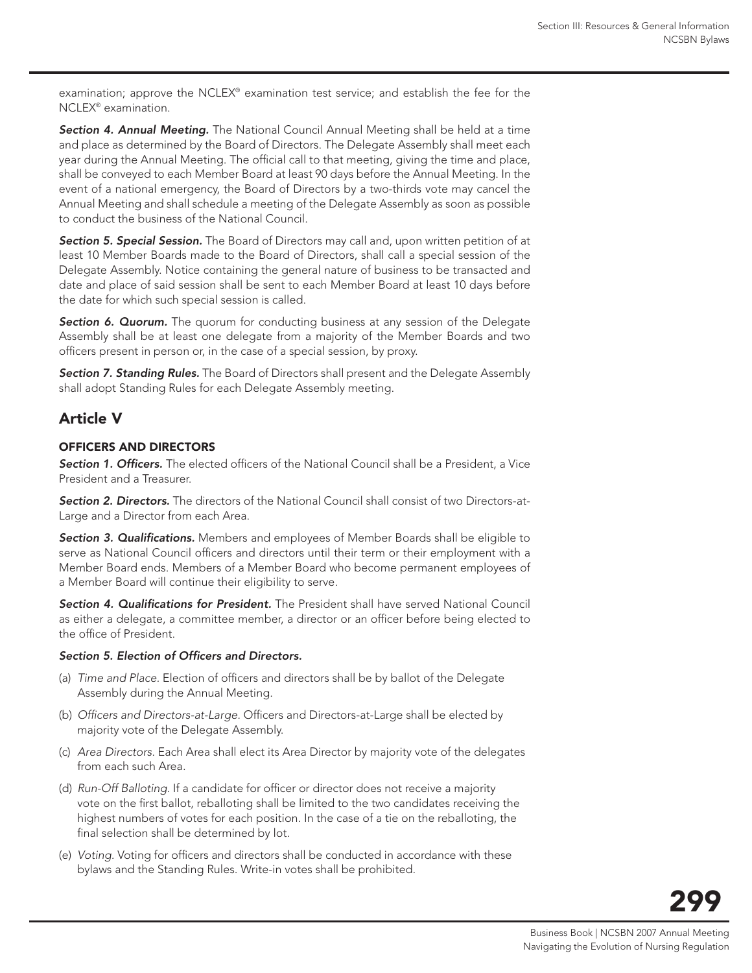examination; approve the NCLEX® examination test service; and establish the fee for the NCLEX® examination.

*Section 4. Annual Meeting.* The National Council Annual Meeting shall be held at a time and place as determined by the Board of Directors. The Delegate Assembly shall meet each year during the Annual Meeting. The official call to that meeting, giving the time and place, shall be conveyed to each Member Board at least 90 days before the Annual Meeting. In the event of a national emergency, the Board of Directors by a two-thirds vote may cancel the Annual Meeting and shall schedule a meeting of the Delegate Assembly as soon as possible to conduct the business of the National Council.

*Section 5. Special Session.* The Board of Directors may call and, upon written petition of at least 10 Member Boards made to the Board of Directors, shall call a special session of the Delegate Assembly. Notice containing the general nature of business to be transacted and date and place of said session shall be sent to each Member Board at least 10 days before the date for which such special session is called.

**Section 6. Quorum.** The quorum for conducting business at any session of the Delegate Assembly shall be at least one delegate from a majority of the Member Boards and two officers present in person or, in the case of a special session, by proxy.

*Section 7. Standing Rules.* The Board of Directors shall present and the Delegate Assembly shall adopt Standing Rules for each Delegate Assembly meeting.

### **Article V**

#### **OFFICERS AND DIRECTORS**

**Section 1. Officers.** The elected officers of the National Council shall be a President, a Vice President and a Treasurer.

*Section 2. Directors.* The directors of the National Council shall consist of two Directors-at-Large and a Director from each Area.

*Section 3. Qualifications.* Members and employees of Member Boards shall be eligible to serve as National Council officers and directors until their term or their employment with a Member Board ends. Members of a Member Board who become permanent employees of a Member Board will continue their eligibility to serve.

*Section 4. Qualifications for President.* The President shall have served National Council as either a delegate, a committee member, a director or an officer before being elected to the office of President.

#### *Section 5. Election of Officers and Directors.*

- (a) Time and Place. Election of officers and directors shall be by ballot of the Delegate Assembly during the Annual Meeting.
- (b) Officers and Directors-at-Large. Officers and Directors-at-Large shall be elected by majority vote of the Delegate Assembly.
- (c) Area Directors. Each Area shall elect its Area Director by majority vote of the delegates from each such Area.
- (d) Run-Off Balloting. If a candidate for officer or director does not receive a majority vote on the first ballot, reballoting shall be limited to the two candidates receiving the highest numbers of votes for each position. In the case of a tie on the reballoting, the final selection shall be determined by lot.
- (e) Voting. Voting for officers and directors shall be conducted in accordance with these bylaws and the Standing Rules. Write-in votes shall be prohibited.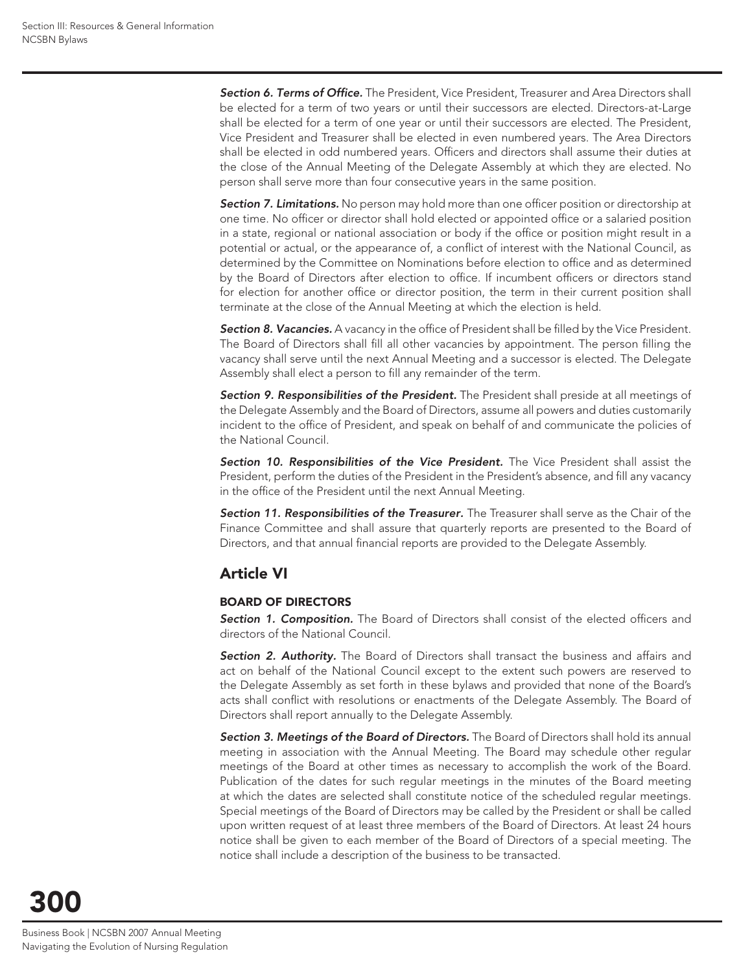*Section 6. Terms of Office.* The President, Vice President, Treasurer and Area Directors shall be elected for a term of two years or until their successors are elected. Directors-at-Large shall be elected for a term of one year or until their successors are elected. The President, Vice President and Treasurer shall be elected in even numbered years. The Area Directors shall be elected in odd numbered years. Officers and directors shall assume their duties at the close of the Annual Meeting of the Delegate Assembly at which they are elected. No person shall serve more than four consecutive years in the same position.

**Section 7. Limitations.** No person may hold more than one officer position or directorship at one time. No officer or director shall hold elected or appointed office or a salaried position in a state, regional or national association or body if the office or position might result in a potential or actual, or the appearance of, a conflict of interest with the National Council, as determined by the Committee on Nominations before election to office and as determined by the Board of Directors after election to office. If incumbent officers or directors stand for election for another office or director position, the term in their current position shall terminate at the close of the Annual Meeting at which the election is held.

*Section 8. Vacancies.* A vacancy in the office of President shall be filled by the Vice President. The Board of Directors shall fill all other vacancies by appointment. The person filling the vacancy shall serve until the next Annual Meeting and a successor is elected. The Delegate Assembly shall elect a person to fill any remainder of the term.

*Section 9. Responsibilities of the President.* The President shall preside at all meetings of the Delegate Assembly and the Board of Directors, assume all powers and duties customarily incident to the office of President, and speak on behalf of and communicate the policies of the National Council.

**Section 10. Responsibilities of the Vice President.** The Vice President shall assist the President, perform the duties of the President in the President's absence, and fill any vacancy in the office of the President until the next Annual Meeting.

Section 11. Responsibilities of the Treasurer. The Treasurer shall serve as the Chair of the Finance Committee and shall assure that quarterly reports are presented to the Board of Directors, and that annual financial reports are provided to the Delegate Assembly.

### **Article VI**

#### **BOARD OF DIRECTORS**

*Section 1. Composition.* The Board of Directors shall consist of the elected officers and directors of the National Council.

*Section 2. Authority.* The Board of Directors shall transact the business and affairs and act on behalf of the National Council except to the extent such powers are reserved to the Delegate Assembly as set forth in these bylaws and provided that none of the Board's acts shall conflict with resolutions or enactments of the Delegate Assembly. The Board of Directors shall report annually to the Delegate Assembly.

*Section 3. Meetings of the Board of Directors.* The Board of Directors shall hold its annual meeting in association with the Annual Meeting. The Board may schedule other regular meetings of the Board at other times as necessary to accomplish the work of the Board. Publication of the dates for such regular meetings in the minutes of the Board meeting at which the dates are selected shall constitute notice of the scheduled regular meetings. Special meetings of the Board of Directors may be called by the President or shall be called upon written request of at least three members of the Board of Directors. At least 24 hours notice shall be given to each member of the Board of Directors of a special meeting. The notice shall include a description of the business to be transacted.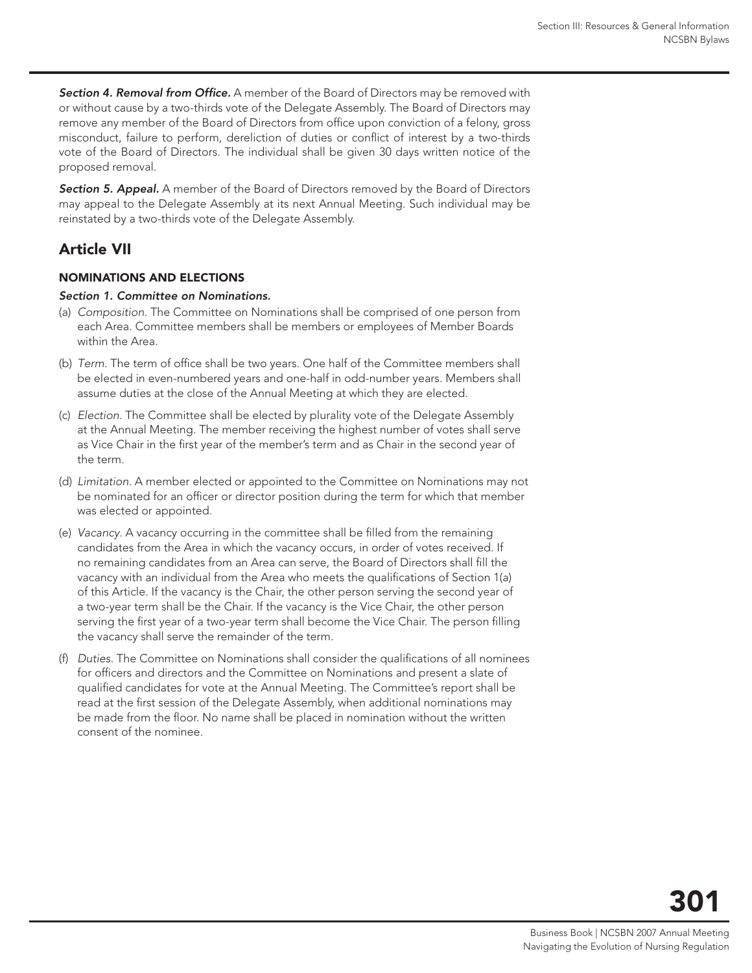*Section 4. Removal from Office.* A member of the Board of Directors may be removed with or without cause by a two-thirds vote of the Delegate Assembly. The Board of Directors may remove any member of the Board of Directors from office upon conviction of a felony, gross misconduct, failure to perform, dereliction of duties or conflict of interest by a two-thirds vote of the Board of Directors. The individual shall be given 30 days written notice of the proposed removal.

*Section 5. Appeal.* A member of the Board of Directors removed by the Board of Directors may appeal to the Delegate Assembly at its next Annual Meeting. Such individual may be reinstated by a two-thirds vote of the Delegate Assembly.

## **Article VII**

#### **NOMINATIONS AND ELECTIONS**

#### *Section 1. Committee on Nominations.*

- (a) Composition. The Committee on Nominations shall be comprised of one person from each Area. Committee members shall be members or employees of Member Boards within the Area.
- (b) Term. The term of office shall be two years. One half of the Committee members shall be elected in even-numbered years and one-half in odd-number years. Members shall assume duties at the close of the Annual Meeting at which they are elected.
- (c) Election. The Committee shall be elected by plurality vote of the Delegate Assembly at the Annual Meeting. The member receiving the highest number of votes shall serve as Vice Chair in the first year of the member's term and as Chair in the second year of the term.
- (d) Limitation. A member elected or appointed to the Committee on Nominations may not be nominated for an officer or director position during the term for which that member was elected or appointed.
- (e) Vacancy. A vacancy occurring in the committee shall be filled from the remaining candidates from the Area in which the vacancy occurs, in order of votes received. If no remaining candidates from an Area can serve, the Board of Directors shall fill the vacancy with an individual from the Area who meets the qualifications of Section 1(a) of this Article. If the vacancy is the Chair, the other person serving the second year of a two-year term shall be the Chair. If the vacancy is the Vice Chair, the other person serving the first year of a two-year term shall become the Vice Chair. The person filling the vacancy shall serve the remainder of the term.
- (f) Duties. The Committee on Nominations shall consider the qualifications of all nominees for officers and directors and the Committee on Nominations and present a slate of qualified candidates for vote at the Annual Meeting. The Committee's report shall be read at the first session of the Delegate Assembly, when additional nominations may be made from the floor. No name shall be placed in nomination without the written consent of the nominee.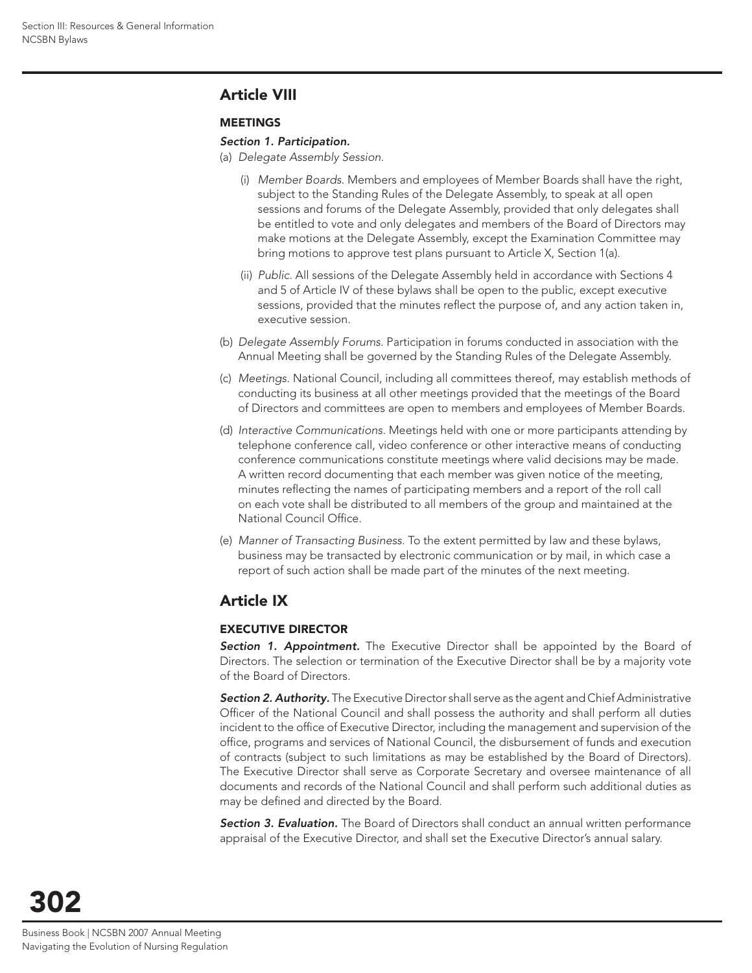### **Article VIII**

#### **MEETINGS**

*Section 1. Participation.*

(a) Delegate Assembly Session.

- (i) Member Boards. Members and employees of Member Boards shall have the right, subject to the Standing Rules of the Delegate Assembly, to speak at all open sessions and forums of the Delegate Assembly, provided that only delegates shall be entitled to vote and only delegates and members of the Board of Directors may make motions at the Delegate Assembly, except the Examination Committee may bring motions to approve test plans pursuant to Article X, Section 1(a).
- (ii) Public. All sessions of the Delegate Assembly held in accordance with Sections 4 and 5 of Article IV of these bylaws shall be open to the public, except executive sessions, provided that the minutes reflect the purpose of, and any action taken in, executive session.
- (b) Delegate Assembly Forums. Participation in forums conducted in association with the Annual Meeting shall be governed by the Standing Rules of the Delegate Assembly.
- (c) Meetings. National Council, including all committees thereof, may establish methods of conducting its business at all other meetings provided that the meetings of the Board of Directors and committees are open to members and employees of Member Boards.
- (d) Interactive Communications. Meetings held with one or more participants attending by telephone conference call, video conference or other interactive means of conducting conference communications constitute meetings where valid decisions may be made. A written record documenting that each member was given notice of the meeting, minutes reflecting the names of participating members and a report of the roll call on each vote shall be distributed to all members of the group and maintained at the National Council Office.
- (e) Manner of Transacting Business. To the extent permitted by law and these bylaws, business may be transacted by electronic communication or by mail, in which case a report of such action shall be made part of the minutes of the next meeting.

### **Article IX**

#### **EXECUTIVE DIRECTOR**

*Section 1. Appointment.* The Executive Director shall be appointed by the Board of Directors. The selection or termination of the Executive Director shall be by a majority vote of the Board of Directors.

*Section 2. Authority.* The Executive Director shall serve as the agent and Chief Administrative Officer of the National Council and shall possess the authority and shall perform all duties incident to the office of Executive Director, including the management and supervision of the office, programs and services of National Council, the disbursement of funds and execution of contracts (subject to such limitations as may be established by the Board of Directors). The Executive Director shall serve as Corporate Secretary and oversee maintenance of all documents and records of the National Council and shall perform such additional duties as may be defined and directed by the Board.

**Section 3. Evaluation.** The Board of Directors shall conduct an annual written performance appraisal of the Executive Director, and shall set the Executive Director's annual salary.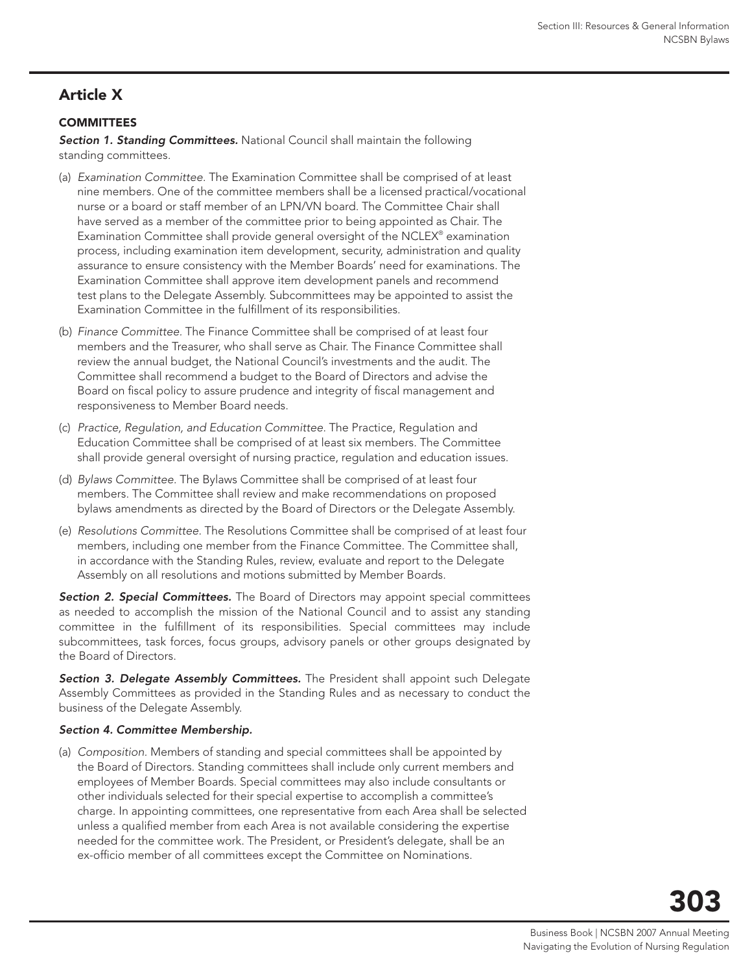### **Article X**

#### **COMMITTEES**

*Section 1. Standing Committees.* National Council shall maintain the following standing committees.

- (a) Examination Committee. The Examination Committee shall be comprised of at least nine members. One of the committee members shall be a licensed practical/vocational nurse or a board or staff member of an LPN/VN board. The Committee Chair shall have served as a member of the committee prior to being appointed as Chair. The Examination Committee shall provide general oversight of the NCLEX® examination process, including examination item development, security, administration and quality assurance to ensure consistency with the Member Boards' need for examinations. The Examination Committee shall approve item development panels and recommend test plans to the Delegate Assembly. Subcommittees may be appointed to assist the Examination Committee in the fulfillment of its responsibilities.
- (b) Finance Committee. The Finance Committee shall be comprised of at least four members and the Treasurer, who shall serve as Chair. The Finance Committee shall review the annual budget, the National Council's investments and the audit. The Committee shall recommend a budget to the Board of Directors and advise the Board on fiscal policy to assure prudence and integrity of fiscal management and responsiveness to Member Board needs.
- (c) Practice, Regulation, and Education Committee. The Practice, Regulation and Education Committee shall be comprised of at least six members. The Committee shall provide general oversight of nursing practice, regulation and education issues.
- (d) Bylaws Committee. The Bylaws Committee shall be comprised of at least four members. The Committee shall review and make recommendations on proposed bylaws amendments as directed by the Board of Directors or the Delegate Assembly.
- (e) Resolutions Committee. The Resolutions Committee shall be comprised of at least four members, including one member from the Finance Committee. The Committee shall, in accordance with the Standing Rules, review, evaluate and report to the Delegate Assembly on all resolutions and motions submitted by Member Boards.

*Section 2. Special Committees.* The Board of Directors may appoint special committees as needed to accomplish the mission of the National Council and to assist any standing committee in the fulfillment of its responsibilities. Special committees may include subcommittees, task forces, focus groups, advisory panels or other groups designated by the Board of Directors.

*Section 3. Delegate Assembly Committees.* The President shall appoint such Delegate Assembly Committees as provided in the Standing Rules and as necessary to conduct the business of the Delegate Assembly.

#### *Section 4. Committee Membership.*

(a) Composition. Members of standing and special committees shall be appointed by the Board of Directors. Standing committees shall include only current members and employees of Member Boards. Special committees may also include consultants or other individuals selected for their special expertise to accomplish a committee's charge. In appointing committees, one representative from each Area shall be selected unless a qualified member from each Area is not available considering the expertise needed for the committee work. The President, or President's delegate, shall be an ex-officio member of all committees except the Committee on Nominations.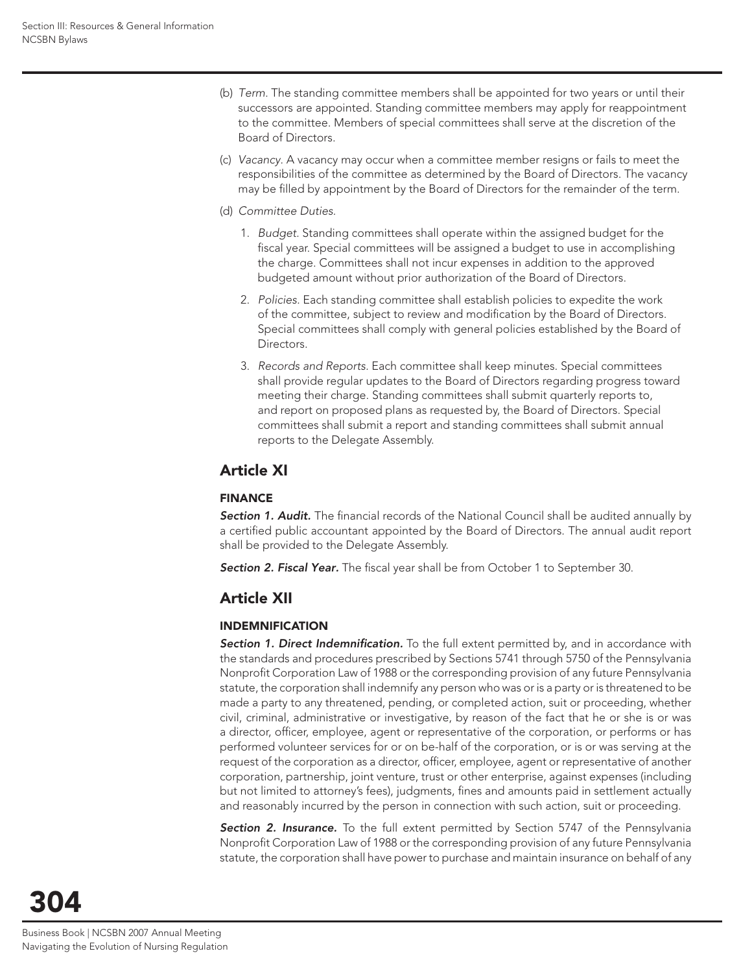- (b) Term. The standing committee members shall be appointed for two years or until their successors are appointed. Standing committee members may apply for reappointment to the committee. Members of special committees shall serve at the discretion of the Board of Directors.
- (c) Vacancy. A vacancy may occur when a committee member resigns or fails to meet the responsibilities of the committee as determined by the Board of Directors. The vacancy may be filled by appointment by the Board of Directors for the remainder of the term.
- (d) Committee Duties.
	- 1. Budget. Standing committees shall operate within the assigned budget for the fiscal year. Special committees will be assigned a budget to use in accomplishing the charge. Committees shall not incur expenses in addition to the approved budgeted amount without prior authorization of the Board of Directors.
	- 2. Policies. Each standing committee shall establish policies to expedite the work of the committee, subject to review and modification by the Board of Directors. Special committees shall comply with general policies established by the Board of Directors.
	- 3. Records and Reports. Each committee shall keep minutes. Special committees shall provide regular updates to the Board of Directors regarding progress toward meeting their charge. Standing committees shall submit quarterly reports to, and report on proposed plans as requested by, the Board of Directors. Special committees shall submit a report and standing committees shall submit annual reports to the Delegate Assembly.

### **Article XI**

#### **FINANCE**

**Section 1. Audit.** The financial records of the National Council shall be audited annually by a certified public accountant appointed by the Board of Directors. The annual audit report shall be provided to the Delegate Assembly.

*Section 2. Fiscal Year.* The fiscal year shall be from October 1 to September 30.

### **Article XII**

#### **INDEMNIFICATION**

**Section 1. Direct Indemnification.** To the full extent permitted by, and in accordance with the standards and procedures prescribed by Sections 5741 through 5750 of the Pennsylvania Nonprofit Corporation Law of 1988 or the corresponding provision of any future Pennsylvania statute, the corporation shall indemnify any person who was or is a party or is threatened to be made a party to any threatened, pending, or completed action, suit or proceeding, whether civil, criminal, administrative or investigative, by reason of the fact that he or she is or was a director, officer, employee, agent or representative of the corporation, or performs or has performed volunteer services for or on be-half of the corporation, or is or was serving at the request of the corporation as a director, officer, employee, agent or representative of another corporation, partnership, joint venture, trust or other enterprise, against expenses (including but not limited to attorney's fees), judgments, fines and amounts paid in settlement actually and reasonably incurred by the person in connection with such action, suit or proceeding.

**Section 2. Insurance.** To the full extent permitted by Section 5747 of the Pennsylvania Nonprofit Corporation Law of 1988 or the corresponding provision of any future Pennsylvania statute, the corporation shall have power to purchase and maintain insurance on behalf of any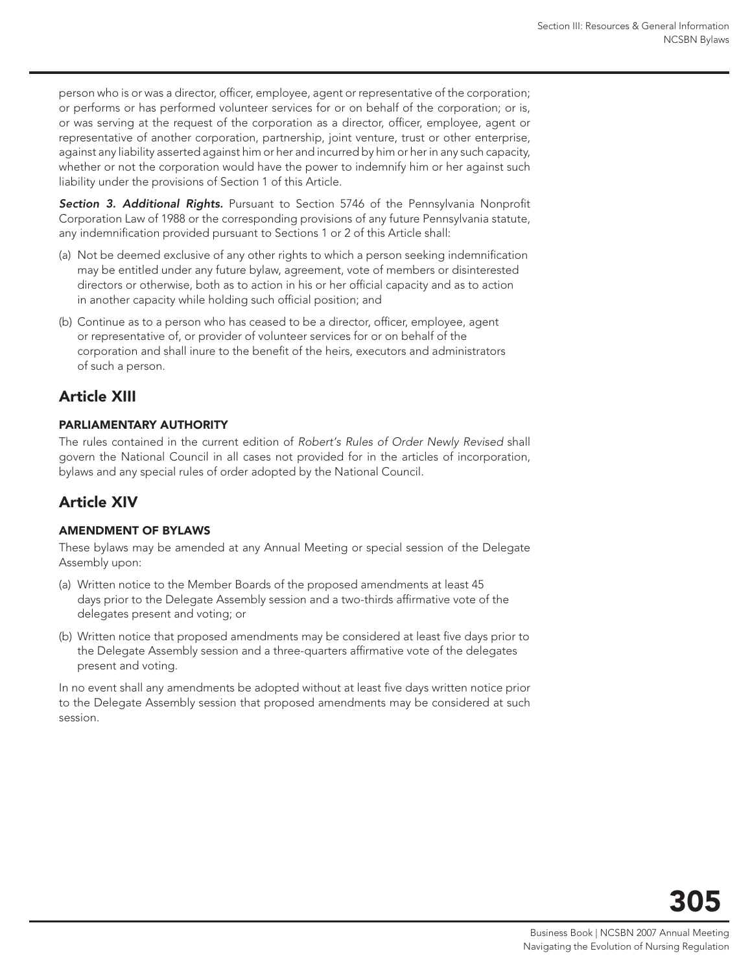person who is or was a director, officer, employee, agent or representative of the corporation; or performs or has performed volunteer services for or on behalf of the corporation; or is, or was serving at the request of the corporation as a director, officer, employee, agent or representative of another corporation, partnership, joint venture, trust or other enterprise, against any liability asserted against him or her and incurred by him or her in any such capacity, whether or not the corporation would have the power to indemnify him or her against such liability under the provisions of Section 1 of this Article.

*Section 3. Additional Rights.* Pursuant to Section 5746 of the Pennsylvania Nonprofit Corporation Law of 1988 or the corresponding provisions of any future Pennsylvania statute, any indemnification provided pursuant to Sections 1 or 2 of this Article shall:

- (a) Not be deemed exclusive of any other rights to which a person seeking indemnification may be entitled under any future bylaw, agreement, vote of members or disinterested directors or otherwise, both as to action in his or her official capacity and as to action in another capacity while holding such official position; and
- (b) Continue as to a person who has ceased to be a director, officer, employee, agent or representative of, or provider of volunteer services for or on behalf of the corporation and shall inure to the benefit of the heirs, executors and administrators of such a person.

### **Article XIII**

#### **PARLIAMENTARY AUTHORITY**

The rules contained in the current edition of Robert's Rules of Order Newly Revised shall govern the National Council in all cases not provided for in the articles of incorporation, bylaws and any special rules of order adopted by the National Council.

## **Article XIV**

#### **AMENDMENT OF BYLAWS**

These bylaws may be amended at any Annual Meeting or special session of the Delegate Assembly upon:

- (a) Written notice to the Member Boards of the proposed amendments at least 45 days prior to the Delegate Assembly session and a two-thirds affirmative vote of the delegates present and voting; or
- (b) Written notice that proposed amendments may be considered at least five days prior to the Delegate Assembly session and a three-quarters affirmative vote of the delegates present and voting.

In no event shall any amendments be adopted without at least five days written notice prior to the Delegate Assembly session that proposed amendments may be considered at such session.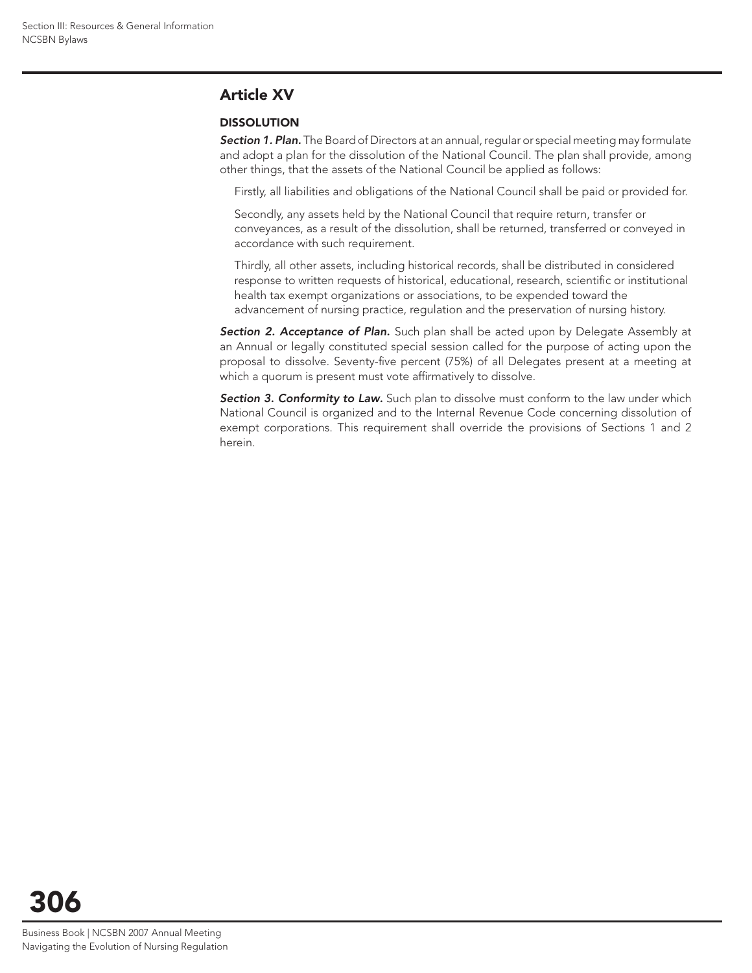### **Article XV**

#### **DISSOLUTION**

*Section 1. Plan.* The Board of Directors at an annual, regular or special meeting may formulate and adopt a plan for the dissolution of the National Council. The plan shall provide, among other things, that the assets of the National Council be applied as follows:

Firstly, all liabilities and obligations of the National Council shall be paid or provided for.

Secondly, any assets held by the National Council that require return, transfer or conveyances, as a result of the dissolution, shall be returned, transferred or conveyed in accordance with such requirement.

Thirdly, all other assets, including historical records, shall be distributed in considered response to written requests of historical, educational, research, scientific or institutional health tax exempt organizations or associations, to be expended toward the advancement of nursing practice, regulation and the preservation of nursing history.

*Section 2. Acceptance of Plan.* Such plan shall be acted upon by Delegate Assembly at an Annual or legally constituted special session called for the purpose of acting upon the proposal to dissolve. Seventy-five percent (75%) of all Delegates present at a meeting at which a quorum is present must vote affirmatively to dissolve.

*Section 3. Conformity to Law.* Such plan to dissolve must conform to the law under which National Council is organized and to the Internal Revenue Code concerning dissolution of exempt corporations. This requirement shall override the provisions of Sections 1 and 2 herein.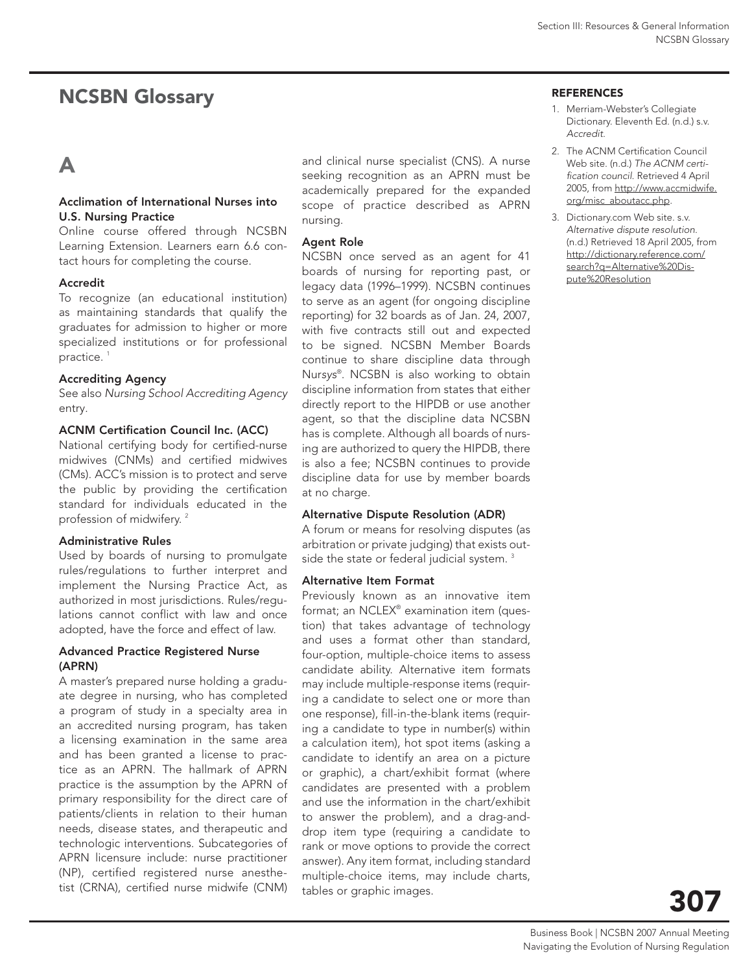# <span id="page-24-0"></span>**NCSBN Glossary**

## **A**

#### **Acclimation of International Nurses into U.S. Nursing Practice**

Online course offered through NCSBN Learning Extension. Learners earn 6.6 contact hours for completing the course.

#### **Accredit**

To recognize (an educational institution) as maintaining standards that qualify the graduates for admission to higher or more specialized institutions or for professional practice.<sup>1</sup>

#### **Accrediting Agency**

See also Nursing School Accrediting Agency entry.

#### **ACNM Certification Council Inc. (ACC)**

National certifying body for certified-nurse midwives (CNMs) and certified midwives (CMs). ACC's mission is to protect and serve the public by providing the certification standard for individuals educated in the profession of midwifery. 2

#### **Administrative Rules**

Used by boards of nursing to promulgate rules/regulations to further interpret and implement the Nursing Practice Act, as authorized in most jurisdictions. Rules/regulations cannot conflict with law and once adopted, have the force and effect of law.

#### **Advanced Practice Registered Nurse (APRN)**

A master's prepared nurse holding a graduate degree in nursing, who has completed a program of study in a specialty area in an accredited nursing program, has taken a licensing examination in the same area and has been granted a license to practice as an APRN. The hallmark of APRN practice is the assumption by the APRN of primary responsibility for the direct care of patients/clients in relation to their human needs, disease states, and therapeutic and technologic interventions. Subcategories of APRN licensure include: nurse practitioner (NP), certified registered nurse anesthetist (CRNA), certified nurse midwife (CNM)

and clinical nurse specialist (CNS). A nurse seeking recognition as an APRN must be academically prepared for the expanded scope of practice described as APRN nursing.

#### **Agent Role**

NCSBN once served as an agent for 41 boards of nursing for reporting past, or legacy data (1996–1999). NCSBN continues to serve as an agent (for ongoing discipline reporting) for 32 boards as of Jan. 24, 2007, with five contracts still out and expected to be signed. NCSBN Member Boards continue to share discipline data through Nursys® . NCSBN is also working to obtain discipline information from states that either directly report to the HIPDB or use another agent, so that the discipline data NCSBN has is complete. Although all boards of nursing are authorized to query the HIPDB, there is also a fee; NCSBN continues to provide discipline data for use by member boards at no charge.

#### **Alternative Dispute Resolution (ADR)**

A forum or means for resolving disputes (as arbitration or private judging) that exists outside the state or federal judicial system.<sup>3</sup>

#### **Alternative Item Format**

Previously known as an innovative item format; an NCLEX® examination item (question) that takes advantage of technology and uses a format other than standard, four-option, multiple-choice items to assess candidate ability. Alternative item formats may include multiple-response items (requiring a candidate to select one or more than one response), fill-in-the-blank items (requiring a candidate to type in number(s) within a calculation item), hot spot items (asking a candidate to identify an area on a picture or graphic), a chart/exhibit format (where candidates are presented with a problem and use the information in the chart/exhibit to answer the problem), and a drag-anddrop item type (requiring a candidate to rank or move options to provide the correct answer). Any item format, including standard multiple-choice items, may include charts, tables or graphic images.

#### **REFERENCES**

- 1. Merriam-Webster's Collegiate Dictionary. Eleventh Ed. (n.d.) s.v. Accredit.
- 2. The ACNM Certification Council Web site. (n.d.) The ACNM certification council. Retrieved 4 April 2005, from http://www.accmidwife. org/misc\_aboutacc.php.
- 3. Dictionary.com Web site. s.v. Alternative dispute resolution. (n.d.) Retrieved 18 April 2005, from http://dictionary.reference.com/ search?q=Alternative%20Dispute%20Resolution

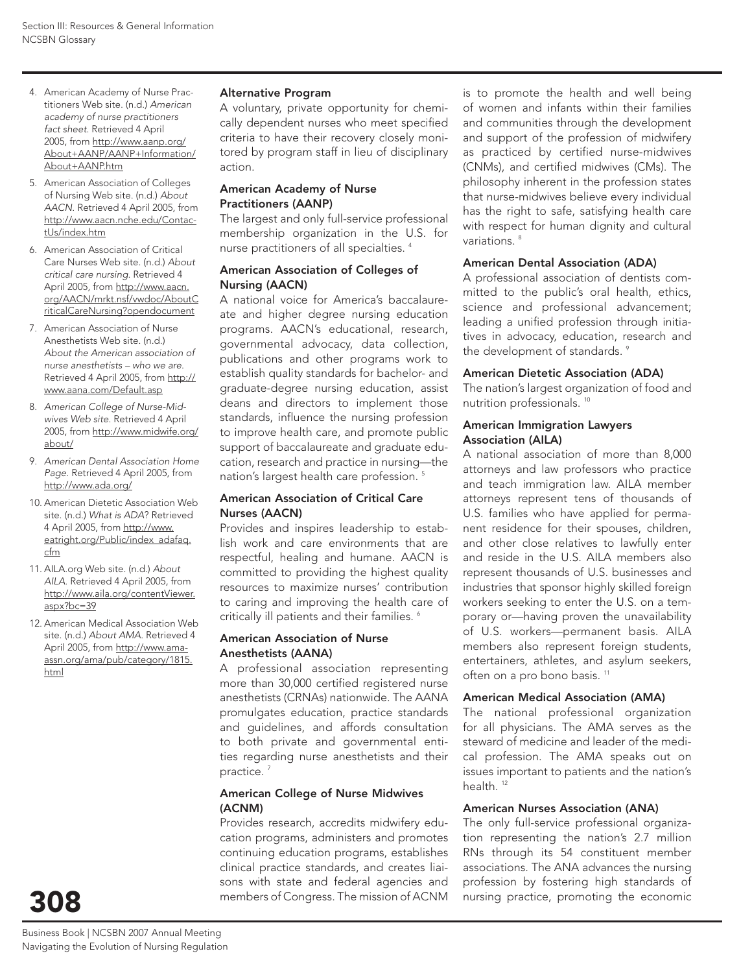- 4. American Academy of Nurse Practitioners Web site. (n.d.) American academy of nurse practitioners fact sheet. Retrieved 4 April 2005, from http://www.aanp.org/ About+AANP/AANP+Information/ About+AANP.htm
- 5. American Association of Colleges of Nursing Web site. (n.d.) About AACN. Retrieved 4 April 2005, from http://www.aacn.nche.edu/ContactUs/index.htm
- 6. American Association of Critical Care Nurses Web site. (n.d.) About critical care nursing. Retrieved 4 April 2005, from http://www.aacn. org/AACN/mrkt.nsf/vwdoc/AboutC riticalCareNursing?opendocument
- 7. American Association of Nurse Anesthetists Web site. (n.d.) About the American association of nurse anesthetists – who we are. Retrieved 4 April 2005, from http:// www.aana.com/Default.asp
- 8. American College of Nurse-Midwives Web site. Retrieved 4 April 2005, from http://www.midwife.org/ about/
- 9. American Dental Association Home Page. Retrieved 4 April 2005, from http://www.ada.org/
- 10. American Dietetic Association Web site. (n.d.) What is ADA? Retrieved 4 April 2005, from http://www. eatright.org/Public/index\_adafaq. cfm
- 11. AILA.org Web site. (n.d.) About AILA. Retrieved 4 April 2005, from http://www.aila.org/contentViewer. aspx?bc=39
- 12. American Medical Association Web site. (n.d.) About AMA. Retrieved 4 April 2005, from http://www.amaassn.org/ama/pub/category/1815. html

#### **Alternative Program**

A voluntary, private opportunity for chemically dependent nurses who meet specified criteria to have their recovery closely monitored by program staff in lieu of disciplinary action.

#### **American Academy of Nurse Practitioners (AANP)**

The largest and only full-service professional membership organization in the U.S. for nurse practitioners of all specialties. 4

#### **American Association of Colleges of Nursing (AACN)**

A national voice for America's baccalaureate and higher degree nursing education programs. AACN's educational, research, governmental advocacy, data collection, publications and other programs work to establish quality standards for bachelor- and graduate-degree nursing education, assist deans and directors to implement those standards, influence the nursing profession to improve health care, and promote public support of baccalaureate and graduate education, research and practice in nursing—the nation's largest health care profession.<sup>5</sup>

#### **American Association of Critical Care Nurses (AACN)**

Provides and inspires leadership to establish work and care environments that are respectful, healing and humane. AACN is committed to providing the highest quality resources to maximize nurses' contribution to caring and improving the health care of critically ill patients and their families.<sup>6</sup>

#### **American Association of Nurse Anesthetists (AANA)**

A professional association representing more than 30,000 certified registered nurse anesthetists (CRNAs) nationwide. The AANA promulgates education, practice standards and guidelines, and affords consultation to both private and governmental entities regarding nurse anesthetists and their practice.<sup>7</sup>

#### **American College of Nurse Midwives (ACNM)**

Provides research, accredits midwifery education programs, administers and promotes continuing education programs, establishes clinical practice standards, and creates liaisons with state and federal agencies and members of Congress. The mission of ACNM is to promote the health and well being of women and infants within their families and communities through the development and support of the profession of midwifery as practiced by certified nurse-midwives (CNMs), and certified midwives (CMs). The philosophy inherent in the profession states that nurse-midwives believe every individual has the right to safe, satisfying health care with respect for human dignity and cultural variations.<sup>8</sup>

#### **American Dental Association (ADA)**

A professional association of dentists committed to the public's oral health, ethics, science and professional advancement; leading a unified profession through initiatives in advocacy, education, research and the development of standards.

#### **American Dietetic Association (ADA)**

The nation's largest organization of food and nutrition professionals. 10

#### **American Immigration Lawyers Association (AILA)**

A national association of more than 8,000 attorneys and law professors who practice and teach immigration law. AILA member attorneys represent tens of thousands of U.S. families who have applied for permanent residence for their spouses, children, and other close relatives to lawfully enter and reside in the U.S. AILA members also represent thousands of U.S. businesses and industries that sponsor highly skilled foreign workers seeking to enter the U.S. on a temporary or—having proven the unavailability of U.S. workers—permanent basis. AILA members also represent foreign students, entertainers, athletes, and asylum seekers, often on a pro bono basis.<sup>11</sup>

#### **American Medical Association (AMA)**

The national professional organization for all physicians. The AMA serves as the steward of medicine and leader of the medical profession. The AMA speaks out on issues important to patients and the nation's health.<sup>12</sup>

#### **American Nurses Association (ANA)**

The only full-service professional organization representing the nation's 2.7 million RNs through its 54 constituent member associations. The ANA advances the nursing profession by fostering high standards of nursing practice, promoting the economic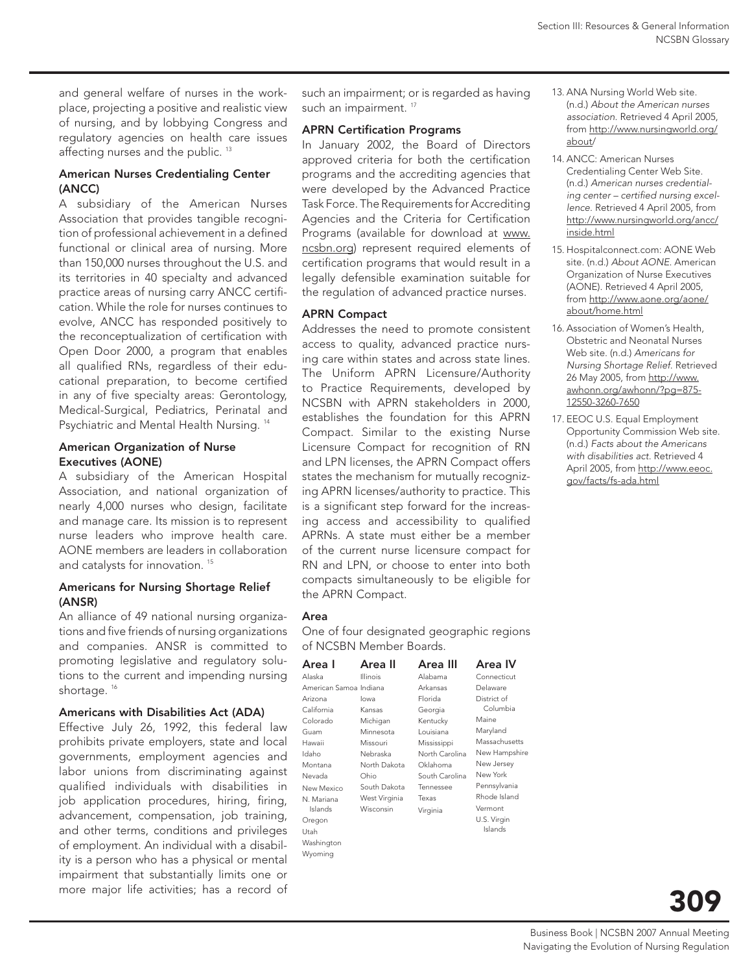and general welfare of nurses in the workplace, projecting a positive and realistic view of nursing, and by lobbying Congress and regulatory agencies on health care issues affecting nurses and the public.<sup>13</sup>

#### **American Nurses Credentialing Center (ANCC)**

A subsidiary of the American Nurses Association that provides tangible recognition of professional achievement in a defined functional or clinical area of nursing. More than 150,000 nurses throughout the U.S. and its territories in 40 specialty and advanced practice areas of nursing carry ANCC certification. While the role for nurses continues to evolve, ANCC has responded positively to the reconceptualization of certification with Open Door 2000, a program that enables all qualified RNs, regardless of their educational preparation, to become certified in any of five specialty areas: Gerontology, Medical-Surgical, Pediatrics, Perinatal and Psychiatric and Mental Health Nursing.<sup>14</sup>

#### **American Organization of Nurse Executives (AONE)**

A subsidiary of the American Hospital Association, and national organization of nearly 4,000 nurses who design, facilitate and manage care. Its mission is to represent nurse leaders who improve health care. AONE members are leaders in collaboration and catalysts for innovation.<sup>15</sup>

#### **Americans for Nursing Shortage Relief (ANSR)**

An alliance of 49 national nursing organizations and five friends of nursing organizations and companies. ANSR is committed to promoting legislative and regulatory solutions to the current and impending nursing shortage.<sup>16</sup>

#### **Americans with Disabilities Act (ADA)**

Effective July 26, 1992, this federal law prohibits private employers, state and local governments, employment agencies and labor unions from discriminating against qualified individuals with disabilities in job application procedures, hiring, firing, advancement, compensation, job training, and other terms, conditions and privileges of employment. An individual with a disability is a person who has a physical or mental impairment that substantially limits one or more major life activities; has a record of such an impairment; or is regarded as having such an impairment.<sup>17</sup>

#### **APRN Certification Programs**

In January 2002, the Board of Directors approved criteria for both the certification programs and the accrediting agencies that were developed by the Advanced Practice Task Force. The Requirements for Accrediting Agencies and the Criteria for Certification Programs (available for download at www. ncsbn.org) represent required elements of certification programs that would result in a legally defensible examination suitable for the regulation of advanced practice nurses.

#### **APRN Compact**

Addresses the need to promote consistent access to quality, advanced practice nursing care within states and across state lines. The Uniform APRN Licensure/Authority to Practice Requirements, developed by NCSBN with APRN stakeholders in 2000, establishes the foundation for this APRN Compact. Similar to the existing Nurse Licensure Compact for recognition of RN and LPN licenses, the APRN Compact offers states the mechanism for mutually recognizing APRN licenses/authority to practice. This is a significant step forward for the increasing access and accessibility to qualified APRNs. A state must either be a member of the current nurse licensure compact for RN and LPN, or choose to enter into both compacts simultaneously to be eligible for the APRN Compact.

#### **Area**

One of four designated geographic regions of NCSBN Member Boards.

| Area I                 | Area II         | Area III       | Area IV       |
|------------------------|-----------------|----------------|---------------|
| Alaska                 | <b>Illinois</b> | Alabama        | Connecticut   |
| American Samoa Indiana |                 | Arkansas       | Delaware      |
| Arizona                | lowa            | Florida        | District of   |
| California             | Kansas          | Georgia        | Columbia      |
| Colorado               | Michigan        | Kentucky       | Maine         |
| Guam                   | Minnesota       | Louisiana      | Maryland      |
| Hawaii                 | Missouri        | Mississippi    | Massachusetts |
| Idaho                  | Nebraska        | North Carolina | New Hampshire |
| Montana                | North Dakota    | Oklahoma       | New Jersey    |
| Nevada                 | Ohio            | South Carolina | New York      |
| New Mexico             | South Dakota    | Tennessee      | Pennsylvania  |
| N. Mariana             | West Virginia   | Texas          | Rhode Island  |
| Islands                | Wisconsin       | Virginia       | Vermont       |
| Oregon                 |                 |                | U.S. Virgin   |
| Utah                   |                 |                | Islands       |
| Washington             |                 |                |               |
| Wvomina                |                 |                |               |

- 13. ANA Nursing World Web site. (n.d.) About the American nurses association. Retrieved 4 April 2005, from http://www.nursingworld.org/ about/
- 14. ANCC: American Nurses Credentialing Center Web Site. (n.d.) American nurses credentialing center – certified nursing excellence. Retrieved 4 April 2005, from http://www.nursingworld.org/ancc/ inside.html
- 15. Hospitalconnect.com: AONE Web site. (n.d.) About AONE. American Organization of Nurse Executives (AONE). Retrieved 4 April 2005, from http://www.aone.org/aone/ about/home.html
- 16. Association of Women's Health, Obstetric and Neonatal Nurses Web site. (n.d.) Americans for Nursing Shortage Relief. Retrieved 26 May 2005, from http://www. awhonn.org/awhonn/?pg=875- 12550-3260-7650
- 17. EEOC U.S. Equal Employment Opportunity Commission Web site. (n.d.) Facts about the Americans with disabilities act. Retrieved 4 April 2005, from http://www.eeoc. gov/facts/fs-ada.html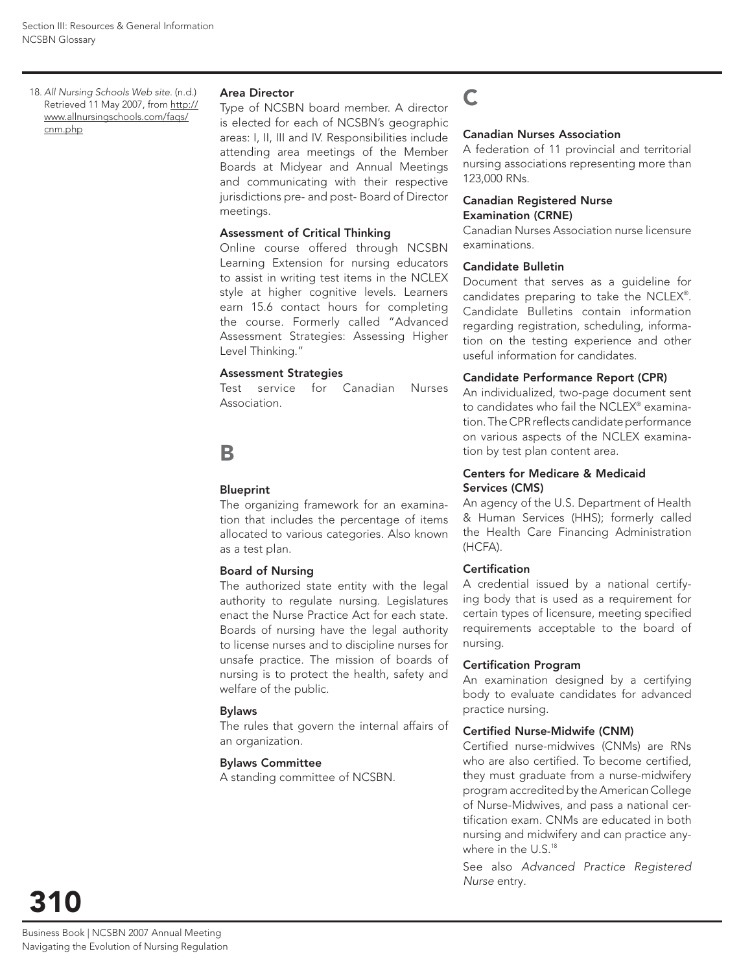18. All Nursing Schools Web site. (n.d.) Retrieved 11 May 2007, from http:// www.allnursingschools.com/faqs/ cnm.php

#### **Area Director**

Type of NCSBN board member. A director is elected for each of NCSBN's geographic areas: I, II, III and IV. Responsibilities include attending area meetings of the Member Boards at Midyear and Annual Meetings and communicating with their respective jurisdictions pre- and post- Board of Director meetings.

#### **Assessment of Critical Thinking**

Online course offered through NCSBN Learning Extension for nursing educators to assist in writing test items in the NCLEX style at higher cognitive levels. Learners earn 15.6 contact hours for completing the course. Formerly called "Advanced Assessment Strategies: Assessing Higher Level Thinking."

#### **Assessment Strategies**

Test service for Canadian Nurses Association.

## **B**

#### **Blueprint**

The organizing framework for an examination that includes the percentage of items allocated to various categories. Also known as a test plan.

#### **Board of Nursing**

The authorized state entity with the legal authority to regulate nursing. Legislatures enact the Nurse Practice Act for each state. Boards of nursing have the legal authority to license nurses and to discipline nurses for unsafe practice. The mission of boards of nursing is to protect the health, safety and welfare of the public.

#### **Bylaws**

The rules that govern the internal affairs of an organization.

#### **Bylaws Committee**

A standing committee of NCSBN.

# **C**

#### **Canadian Nurses Association**

A federation of 11 provincial and territorial nursing associations representing more than 123,000 RNs.

#### **Canadian Registered Nurse Examination (CRNE)**

Canadian Nurses Association nurse licensure examinations.

#### **Candidate Bulletin**

Document that serves as a guideline for candidates preparing to take the NCLEX® . Candidate Bulletins contain information regarding registration, scheduling, information on the testing experience and other useful information for candidates.

#### **Candidate Performance Report (CPR)**

An individualized, two-page document sent to candidates who fail the NCLEX® examination. The CPR reflects candidate performance on various aspects of the NCLEX examination by test plan content area.

#### **Centers for Medicare & Medicaid Services (CMS)**

An agency of the U.S. Department of Health & Human Services (HHS); formerly called the Health Care Financing Administration (HCFA).

#### **Certification**

A credential issued by a national certifying body that is used as a requirement for certain types of licensure, meeting specified requirements acceptable to the board of nursing.

#### **Certification Program**

An examination designed by a certifying body to evaluate candidates for advanced practice nursing.

#### **Certified Nurse-Midwife (CNM)**

Certified nurse-midwives (CNMs) are RNs who are also certified. To become certified, they must graduate from a nurse-midwifery program accredited by the American College of Nurse-Midwives, and pass a national certification exam. CNMs are educated in both nursing and midwifery and can practice anywhere in the U.S.<sup>18</sup>

See also Advanced Practice Registered Nurse entry.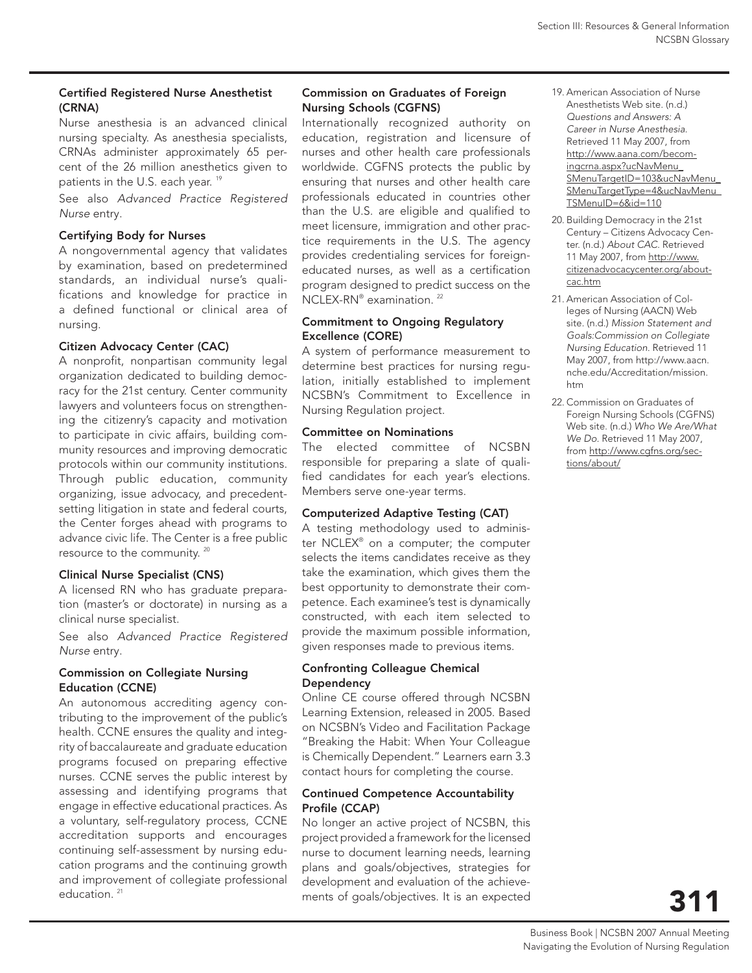#### **Certified Registered Nurse Anesthetist (CRNA)**

Nurse anesthesia is an advanced clinical nursing specialty. As anesthesia specialists, CRNAs administer approximately 65 percent of the 26 million anesthetics given to patients in the U.S. each year.<sup>19</sup>

See also Advanced Practice Registered Nurse entry.

#### **Certifying Body for Nurses**

A nongovernmental agency that validates by examination, based on predetermined standards, an individual nurse's qualifications and knowledge for practice in a defined functional or clinical area of nursing.

#### **Citizen Advocacy Center (CAC)**

A nonprofit, nonpartisan community legal organization dedicated to building democracy for the 21st century. Center community lawyers and volunteers focus on strengthening the citizenry's capacity and motivation to participate in civic affairs, building community resources and improving democratic protocols within our community institutions. Through public education, community organizing, issue advocacy, and precedentsetting litigation in state and federal courts, the Center forges ahead with programs to advance civic life. The Center is a free public resource to the community.<sup>20</sup>

#### **Clinical Nurse Specialist (CNS)**

A licensed RN who has graduate preparation (master's or doctorate) in nursing as a clinical nurse specialist.

See also Advanced Practice Registered Nurse entry.

#### **Commission on Collegiate Nursing Education (CCNE)**

An autonomous accrediting agency contributing to the improvement of the public's health. CCNE ensures the quality and integrity of baccalaureate and graduate education programs focused on preparing effective nurses. CCNE serves the public interest by assessing and identifying programs that engage in effective educational practices. As a voluntary, self-regulatory process, CCNE accreditation supports and encourages continuing self-assessment by nursing education programs and the continuing growth and improvement of collegiate professional education.<sup>21</sup>

#### **Commission on Graduates of Foreign Nursing Schools (CGFNS)**

Internationally recognized authority on education, registration and licensure of nurses and other health care professionals worldwide. CGFNS protects the public by ensuring that nurses and other health care professionals educated in countries other than the U.S. are eligible and qualified to meet licensure, immigration and other practice requirements in the U.S. The agency provides credentialing services for foreigneducated nurses, as well as a certification program designed to predict success on the NCLEX-RN<sup>®</sup> examination.<sup>22</sup>

#### **Commitment to Ongoing Regulatory Excellence (CORE)**

A system of performance measurement to determine best practices for nursing regulation, initially established to implement NCSBN's Commitment to Excellence in Nursing Regulation project.

#### **Committee on Nominations**

The elected committee of NCSBN responsible for preparing a slate of qualified candidates for each year's elections. Members serve one-year terms.

#### **Computerized Adaptive Testing (CAT)**

A testing methodology used to administer NCLEX® on a computer; the computer selects the items candidates receive as they take the examination, which gives them the best opportunity to demonstrate their competence. Each examinee's test is dynamically constructed, with each item selected to provide the maximum possible information, given responses made to previous items.

#### **Confronting Colleague Chemical Dependency**

Online CE course offered through NCSBN Learning Extension, released in 2005. Based on NCSBN's Video and Facilitation Package "Breaking the Habit: When Your Colleague is Chemically Dependent." Learners earn 3.3 contact hours for completing the course.

#### **Continued Competence Accountability Profile (CCAP)**

No longer an active project of NCSBN, this project provided a framework for the licensed nurse to document learning needs, learning plans and goals/objectives, strategies for development and evaluation of the achievements of goals/objectives. It is an expected

- 19. American Association of Nurse Anesthetists Web site. (n.d.) Questions and Answers: A Career in Nurse Anesthesia. Retrieved 11 May 2007, from http://www.aana.com/becomingcrna.aspx?ucNavMenu\_ SMenuTargetID=103&ucNavMenu\_ SMenuTargetType=4&ucNavMenu\_ TSMenuID=6&id=110
- 20. Building Democracy in the 21st Century – Citizens Advocacy Center. (n.d.) About CAC. Retrieved 11 May 2007, from http://www. citizenadvocacycenter.org/aboutcac.htm
- 21. American Association of Colleges of Nursing (AACN) Web site. (n.d.) Mission Statement and Goals:Commission on Collegiate Nursing Education. Retrieved 11 May 2007, from http://www.aacn. nche.edu/Accreditation/mission. htm
- 22. Commission on Graduates of Foreign Nursing Schools (CGFNS) Web site. (n.d.) Who We Are/What We Do. Retrieved 11 May 2007, from http://www.cgfns.org/sections/about/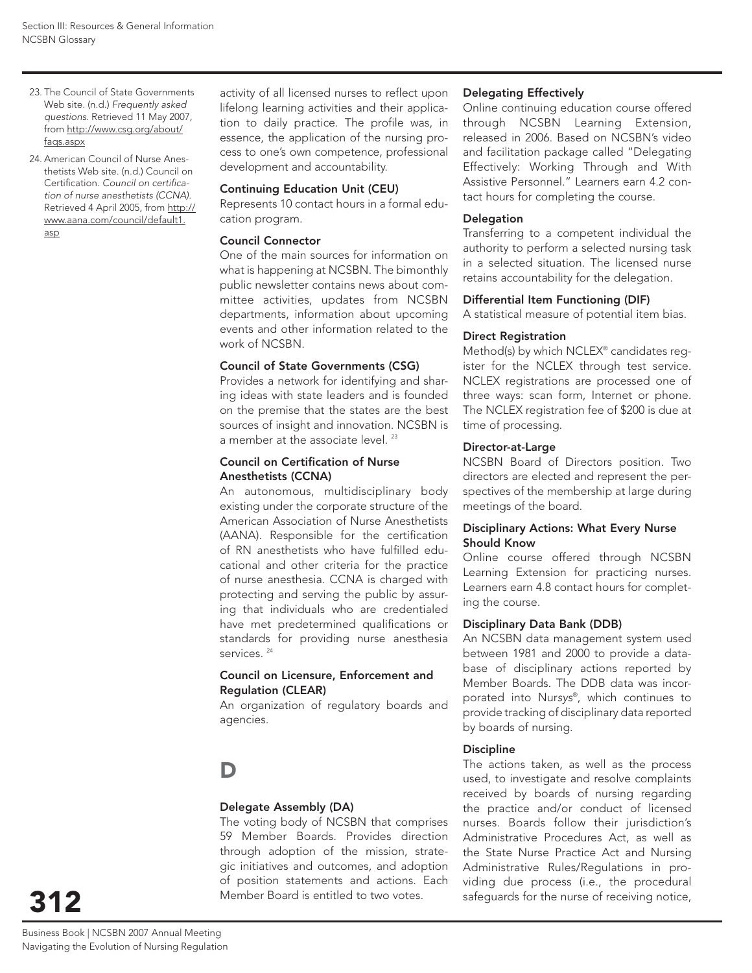- 23. The Council of State Governments Web site. (n.d.) Frequently asked questions. Retrieved 11 May 2007, from http://www.csg.org/about/ faqs.aspx
- 24. American Council of Nurse Anesthetists Web site. (n.d.) Council on Certification. Council on certification of nurse anesthetists (CCNA). Retrieved 4 April 2005, from http:// www.aana.com/council/default1. asp

activity of all licensed nurses to reflect upon lifelong learning activities and their application to daily practice. The profile was, in essence, the application of the nursing process to one's own competence, professional development and accountability.

#### **Continuing Education Unit (CEU)**

Represents 10 contact hours in a formal education program.

#### **Council Connector**

One of the main sources for information on what is happening at NCSBN. The bimonthly public newsletter contains news about committee activities, updates from NCSBN departments, information about upcoming events and other information related to the work of NCSBN.

#### **Council of State Governments (CSG)**

Provides a network for identifying and sharing ideas with state leaders and is founded on the premise that the states are the best sources of insight and innovation. NCSBN is a member at the associate level.<sup>23</sup>

#### **Council on Certification of Nurse Anesthetists (CCNA)**

An autonomous, multidisciplinary body existing under the corporate structure of the American Association of Nurse Anesthetists (AANA). Responsible for the certification of RN anesthetists who have fulfilled educational and other criteria for the practice of nurse anesthesia. CCNA is charged with protecting and serving the public by assuring that individuals who are credentialed have met predetermined qualifications or standards for providing nurse anesthesia services.<sup>24</sup>

#### **Council on Licensure, Enforcement and Regulation (CLEAR)**

An organization of regulatory boards and agencies.

# **D**

#### **Delegate Assembly (DA)**

The voting body of NCSBN that comprises 59 Member Boards. Provides direction through adoption of the mission, strategic initiatives and outcomes, and adoption of position statements and actions. Each Member Board is entitled to two votes.

#### **Delegating Effectively**

Online continuing education course offered through NCSBN Learning Extension, released in 2006. Based on NCSBN's video and facilitation package called "Delegating Effectively: Working Through and With Assistive Personnel." Learners earn 4.2 contact hours for completing the course.

#### **Delegation**

Transferring to a competent individual the authority to perform a selected nursing task in a selected situation. The licensed nurse retains accountability for the delegation.

#### **Differential Item Functioning (DIF)**

A statistical measure of potential item bias.

#### **Direct Registration**

Method(s) by which NCLEX® candidates register for the NCLEX through test service. NCLEX registrations are processed one of three ways: scan form, Internet or phone. The NCLEX registration fee of \$200 is due at time of processing.

#### **Director-at-Large**

NCSBN Board of Directors position. Two directors are elected and represent the perspectives of the membership at large during meetings of the board.

#### **Disciplinary Actions: What Every Nurse Should Know**

Online course offered through NCSBN Learning Extension for practicing nurses. Learners earn 4.8 contact hours for completing the course.

#### **Disciplinary Data Bank (DDB)**

An NCSBN data management system used between 1981 and 2000 to provide a database of disciplinary actions reported by Member Boards. The DDB data was incorporated into Nursys® , which continues to provide tracking of disciplinary data reported by boards of nursing.

#### **Discipline**

The actions taken, as well as the process used, to investigate and resolve complaints received by boards of nursing regarding the practice and/or conduct of licensed nurses. Boards follow their jurisdiction's Administrative Procedures Act, as well as the State Nurse Practice Act and Nursing Administrative Rules/Regulations in providing due process (i.e., the procedural safeguards for the nurse of receiving notice,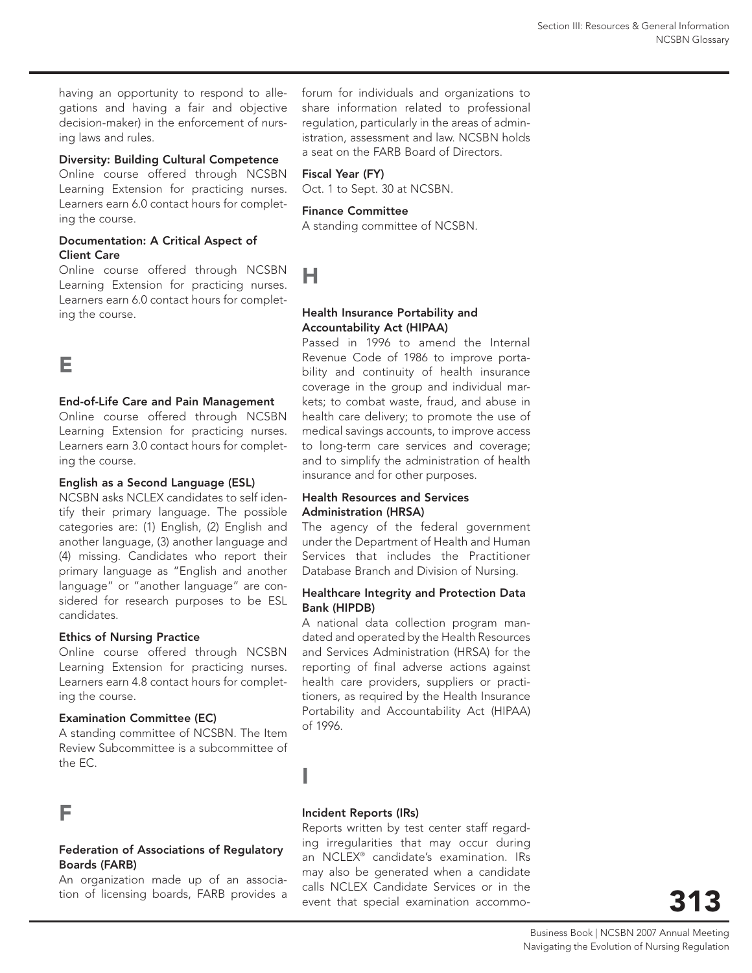having an opportunity to respond to allegations and having a fair and objective decision-maker) in the enforcement of nursing laws and rules.

#### **Diversity: Building Cultural Competence**

Online course offered through NCSBN Learning Extension for practicing nurses. Learners earn 6.0 contact hours for completing the course.

#### **Documentation: A Critical Aspect of Client Care**

Online course offered through NCSBN Learning Extension for practicing nurses. Learners earn 6.0 contact hours for completing the course.

# **E**

#### **End-of-Life Care and Pain Management**

Online course offered through NCSBN Learning Extension for practicing nurses. Learners earn 3.0 contact hours for completing the course.

#### **English as a Second Language (ESL)**

NCSBN asks NCLEX candidates to self identify their primary language. The possible categories are: (1) English, (2) English and another language, (3) another language and (4) missing. Candidates who report their primary language as "English and another language" or "another language" are considered for research purposes to be ESL candidates.

#### **Ethics of Nursing Practice**

Online course offered through NCSBN Learning Extension for practicing nurses. Learners earn 4.8 contact hours for completing the course.

#### **Examination Committee (EC)**

A standing committee of NCSBN. The Item Review Subcommittee is a subcommittee of the EC.

# **F**

#### **Federation of Associations of Regulatory Boards (FARB)**

An organization made up of an association of licensing boards, FARB provides a forum for individuals and organizations to share information related to professional regulation, particularly in the areas of administration, assessment and law. NCSBN holds a seat on the FARB Board of Directors.

#### **Fiscal Year (FY)**

**H**

Oct. 1 to Sept. 30 at NCSBN.

#### **Finance Committee**

A standing committee of NCSBN.

#### **Health Insurance Portability and Accountability Act (HIPAA)**

Passed in 1996 to amend the Internal Revenue Code of 1986 to improve portability and continuity of health insurance coverage in the group and individual markets; to combat waste, fraud, and abuse in health care delivery; to promote the use of medical savings accounts, to improve access to long-term care services and coverage; and to simplify the administration of health insurance and for other purposes.

#### **Health Resources and Services Administration (HRSA)**

The agency of the federal government under the Department of Health and Human Services that includes the Practitioner Database Branch and Division of Nursing.

#### **Healthcare Integrity and Protection Data Bank (HIPDB)**

A national data collection program mandated and operated by the Health Resources and Services Administration (HRSA) for the reporting of final adverse actions against health care providers, suppliers or practitioners, as required by the Health Insurance Portability and Accountability Act (HIPAA) of 1996.

#### **Incident Reports (IRs)**

**I**

Reports written by test center staff regarding irregularities that may occur during an NCLEX® candidate's examination. IRs may also be generated when a candidate calls NCLEX Candidate Services or in the event that special examination accommo-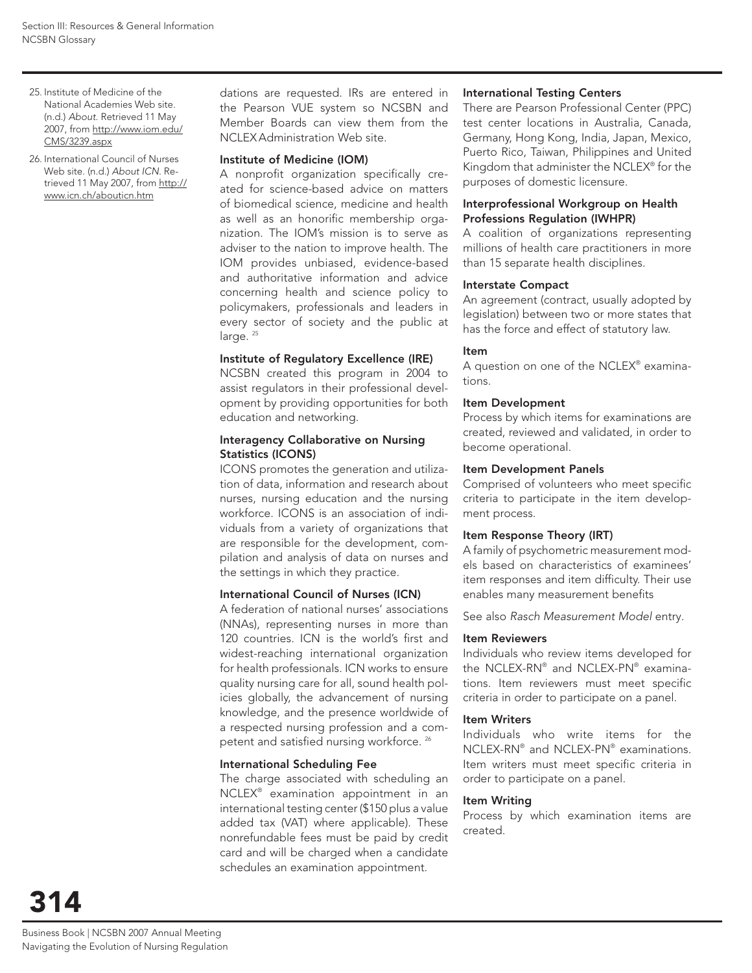- 25. Institute of Medicine of the National Academies Web site. (n.d.) About. Retrieved 11 May 2007, from http://www.iom.edu/ CMS/3239.aspx
- 26. International Council of Nurses Web site. (n.d.) About ICN. Retrieved 11 May 2007, from http:// www.icn.ch/abouticn.htm

dations are requested. IRs are entered in the Pearson VUE system so NCSBN and Member Boards can view them from the NCLEX Administration Web site.

#### **Institute of Medicine (IOM)**

A nonprofit organization specifically created for science-based advice on matters of biomedical science, medicine and health as well as an honorific membership organization. The IOM's mission is to serve as adviser to the nation to improve health. The IOM provides unbiased, evidence-based and authoritative information and advice concerning health and science policy to policymakers, professionals and leaders in every sector of society and the public at large.<sup>25</sup>

#### **Institute of Regulatory Excellence (IRE)**

NCSBN created this program in 2004 to assist regulators in their professional development by providing opportunities for both education and networking.

#### **Interagency Collaborative on Nursing Statistics (ICONS)**

ICONS promotes the generation and utilization of data, information and research about nurses, nursing education and the nursing workforce. ICONS is an association of individuals from a variety of organizations that are responsible for the development, compilation and analysis of data on nurses and the settings in which they practice.

#### **International Council of Nurses (ICN)**

A federation of national nurses' associations (NNAs), representing nurses in more than 120 countries. ICN is the world's first and widest-reaching international organization for health professionals. ICN works to ensure quality nursing care for all, sound health policies globally, the advancement of nursing knowledge, and the presence worldwide of a respected nursing profession and a competent and satisfied nursing workforce.<sup>26</sup>

#### **International Scheduling Fee**

The charge associated with scheduling an NCLEX® examination appointment in an international testing center (\$150 plus a value added tax (VAT) where applicable). These nonrefundable fees must be paid by credit card and will be charged when a candidate schedules an examination appointment.

#### **International Testing Centers**

There are Pearson Professional Center (PPC) test center locations in Australia, Canada, Germany, Hong Kong, India, Japan, Mexico, Puerto Rico, Taiwan, Philippines and United Kingdom that administer the NCLEX® for the purposes of domestic licensure.

#### **Interprofessional Workgroup on Health Professions Regulation (IWHPR)**

A coalition of organizations representing millions of health care practitioners in more than 15 separate health disciplines.

#### **Interstate Compact**

An agreement (contract, usually adopted by legislation) between two or more states that has the force and effect of statutory law.

#### **Item**

A question on one of the NCLEX® examinations.

#### **Item Development**

Process by which items for examinations are created, reviewed and validated, in order to become operational.

#### **Item Development Panels**

Comprised of volunteers who meet specific criteria to participate in the item development process.

#### **Item Response Theory (IRT)**

A family of psychometric measurement models based on characteristics of examinees' item responses and item difficulty. Their use enables many measurement benefits

See also Rasch Measurement Model entry.

#### **Item Reviewers**

Individuals who review items developed for the NCLEX-RN® and NCLEX-PN® examinations. Item reviewers must meet specific criteria in order to participate on a panel.

#### **Item Writers**

Individuals who write items for the NCLEX-RN® and NCLEX-PN® examinations. Item writers must meet specific criteria in order to participate on a panel.

#### **Item Writing**

Process by which examination items are created.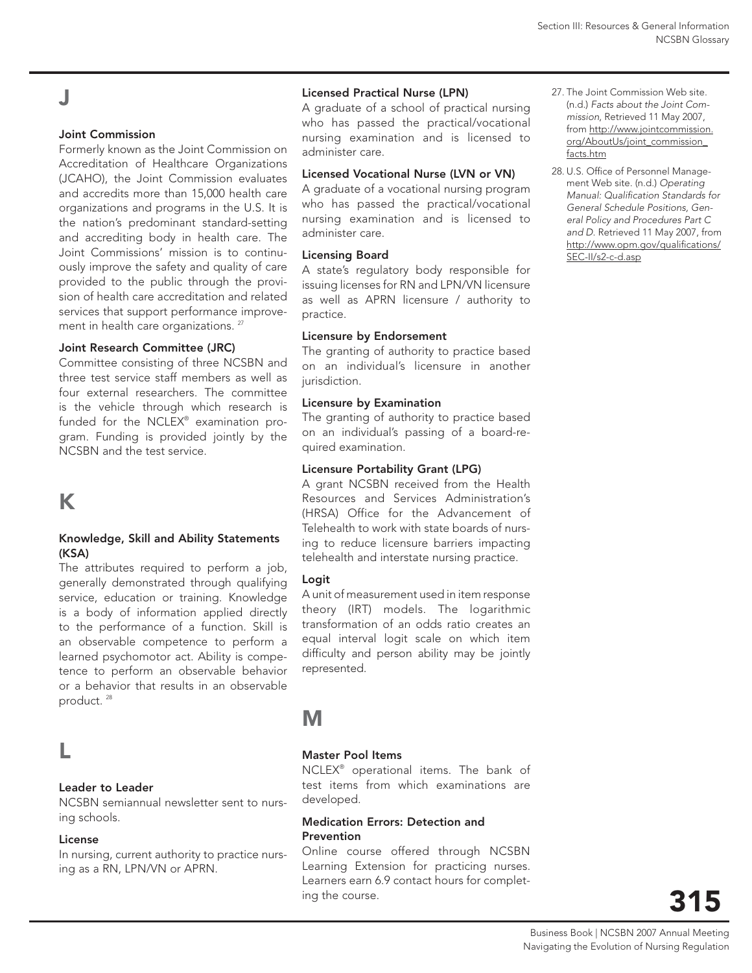# **J**

#### **Joint Commission**

Formerly known as the Joint Commission on Accreditation of Healthcare Organizations (JCAHO), the Joint Commission evaluates and accredits more than 15,000 health care organizations and programs in the U.S. It is the nation's predominant standard-setting and accrediting body in health care. The Joint Commissions' mission is to continuously improve the safety and quality of care provided to the public through the provision of health care accreditation and related services that support performance improvement in health care organizations.<sup>27</sup>

#### **Joint Research Committee (JRC)**

Committee consisting of three NCSBN and three test service staff members as well as four external researchers. The committee is the vehicle through which research is funded for the NCLEX® examination program. Funding is provided jointly by the NCSBN and the test service.

# **K**

#### **Knowledge, Skill and Ability Statements (KSA)**

The attributes required to perform a job, generally demonstrated through qualifying service, education or training. Knowledge is a body of information applied directly to the performance of a function. Skill is an observable competence to perform a learned psychomotor act. Ability is competence to perform an observable behavior or a behavior that results in an observable product.<sup>28</sup>

# **L**

#### **Leader to Leader**

NCSBN semiannual newsletter sent to nursing schools.

#### **License**

In nursing, current authority to practice nursing as a RN, LPN/VN or APRN.

#### **Licensed Practical Nurse (LPN)**

A graduate of a school of practical nursing who has passed the practical/vocational nursing examination and is licensed to administer care.

#### **Licensed Vocational Nurse (LVN or VN)**

A graduate of a vocational nursing program who has passed the practical/vocational nursing examination and is licensed to administer care.

#### **Licensing Board**

A state's regulatory body responsible for issuing licenses for RN and LPN/VN licensure as well as APRN licensure / authority to practice.

#### **Licensure by Endorsement**

The granting of authority to practice based on an individual's licensure in another jurisdiction.

#### **Licensure by Examination**

The granting of authority to practice based on an individual's passing of a board-required examination.

#### **Licensure Portability Grant (LPG)**

A grant NCSBN received from the Health Resources and Services Administration's (HRSA) Office for the Advancement of Telehealth to work with state boards of nursing to reduce licensure barriers impacting telehealth and interstate nursing practice.

#### **Logit**

A unit of measurement used in item response theory (IRT) models. The logarithmic transformation of an odds ratio creates an equal interval logit scale on which item difficulty and person ability may be jointly represented.

## **M**

#### **Master Pool Items**

NCLEX® operational items. The bank of test items from which examinations are developed.

#### **Medication Errors: Detection and Prevention**

Online course offered through NCSBN Learning Extension for practicing nurses. Learners earn 6.9 contact hours for completing the course.

- 27. The Joint Commission Web site. (n.d.) Facts about the Joint Commission, Retrieved 11 May 2007, from http://www.jointcommission. org/AboutUs/joint\_commission\_ facts.htm
- 28. U.S. Office of Personnel Management Web site. (n.d.) Operating Manual: Qualification Standards for General Schedule Positions, General Policy and Procedures Part C and D. Retrieved 11 May 2007, from http://www.opm.gov/qualifications/ SEC-II/s2-c-d.asp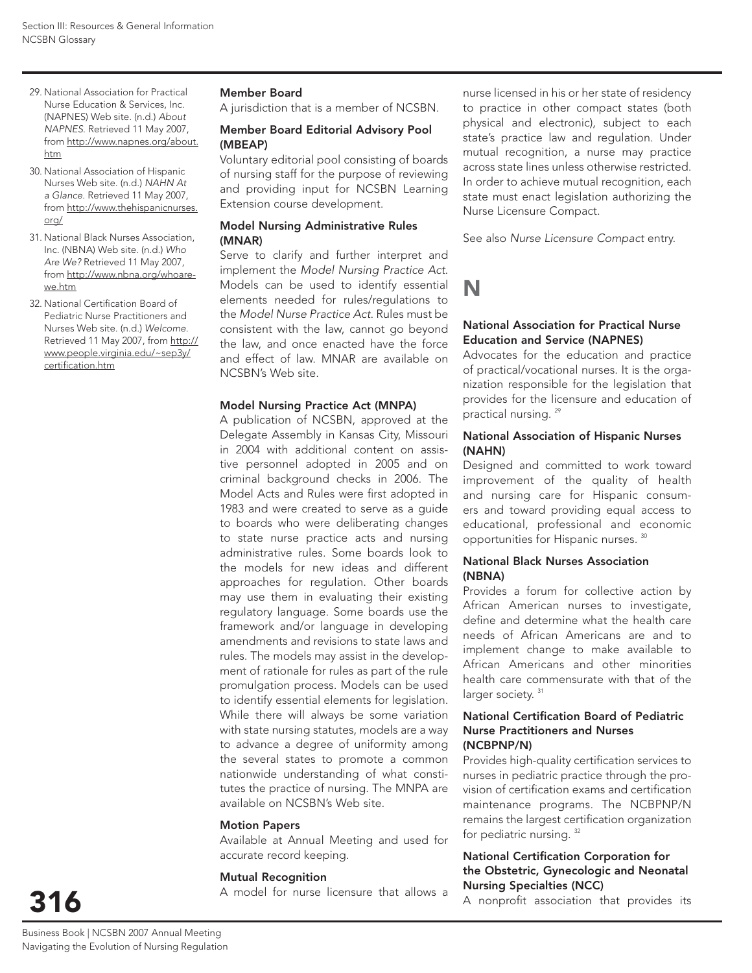- 29. National Association for Practical Nurse Education & Services, Inc. (NAPNES) Web site. (n.d.) About NAPNES. Retrieved 11 May 2007, from http://www.napnes.org/about. htm
- 30. National Association of Hispanic Nurses Web site. (n.d.) NAHN At a Glance. Retrieved 11 May 2007, from http://www.thehispanicnurses. org/
- 31. National Black Nurses Association, Inc. (NBNA) Web site. (n.d.) Who Are We? Retrieved 11 May 2007, from http://www.nbna.org/whoarewe.htm
- 32. National Certification Board of Pediatric Nurse Practitioners and Nurses Web site. (n.d.) Welcome. Retrieved 11 May 2007, from http:// www.people.virginia.edu/~sep3y/ certification.htm

#### **Member Board**

A jurisdiction that is a member of NCSBN.

#### **Member Board Editorial Advisory Pool (MBEAP)**

Voluntary editorial pool consisting of boards of nursing staff for the purpose of reviewing and providing input for NCSBN Learning Extension course development.

#### **Model Nursing Administrative Rules (MNAR)**

Serve to clarify and further interpret and implement the Model Nursing Practice Act. Models can be used to identify essential elements needed for rules/regulations to the Model Nurse Practice Act. Rules must be consistent with the law, cannot go beyond the law, and once enacted have the force and effect of law. MNAR are available on NCSBN's Web site.

#### **Model Nursing Practice Act (MNPA)**

A publication of NCSBN, approved at the Delegate Assembly in Kansas City, Missouri in 2004 with additional content on assistive personnel adopted in 2005 and on criminal background checks in 2006. The Model Acts and Rules were first adopted in 1983 and were created to serve as a guide to boards who were deliberating changes to state nurse practice acts and nursing administrative rules. Some boards look to the models for new ideas and different approaches for regulation. Other boards may use them in evaluating their existing regulatory language. Some boards use the framework and/or language in developing amendments and revisions to state laws and rules. The models may assist in the development of rationale for rules as part of the rule promulgation process. Models can be used to identify essential elements for legislation. While there will always be some variation with state nursing statutes, models are a way to advance a degree of uniformity among the several states to promote a common nationwide understanding of what constitutes the practice of nursing. The MNPA are available on NCSBN's Web site.

#### **Motion Papers**

Available at Annual Meeting and used for accurate record keeping.

#### **Mutual Recognition**

A model for nurse licensure that allows a

nurse licensed in his or her state of residency to practice in other compact states (both physical and electronic), subject to each state's practice law and regulation. Under mutual recognition, a nurse may practice across state lines unless otherwise restricted. In order to achieve mutual recognition, each state must enact legislation authorizing the Nurse Licensure Compact.

See also Nurse Licensure Compact entry.

# **N**

#### **National Association for Practical Nurse Education and Service (NAPNES)**

Advocates for the education and practice of practical/vocational nurses. It is the organization responsible for the legislation that provides for the licensure and education of practical nursing.<sup>29</sup>

#### **National Association of Hispanic Nurses (NAHN)**

Designed and committed to work toward improvement of the quality of health and nursing care for Hispanic consumers and toward providing equal access to educational, professional and economic opportunities for Hispanic nurses. 30

#### **National Black Nurses Association (NBNA)**

Provides a forum for collective action by African American nurses to investigate, define and determine what the health care needs of African Americans are and to implement change to make available to African Americans and other minorities health care commensurate with that of the larger society. 31

#### **National Certification Board of Pediatric Nurse Practitioners and Nurses (NCBPNP/N)**

Provides high-quality certification services to nurses in pediatric practice through the provision of certification exams and certification maintenance programs. The NCBPNP/N remains the largest certification organization for pediatric nursing. 32

#### **National Certification Corporation for the Obstetric, Gynecologic and Neonatal Nursing Specialties (NCC)**

A nonprofit association that provides its

Navigating the Evolution of Nursing Regulation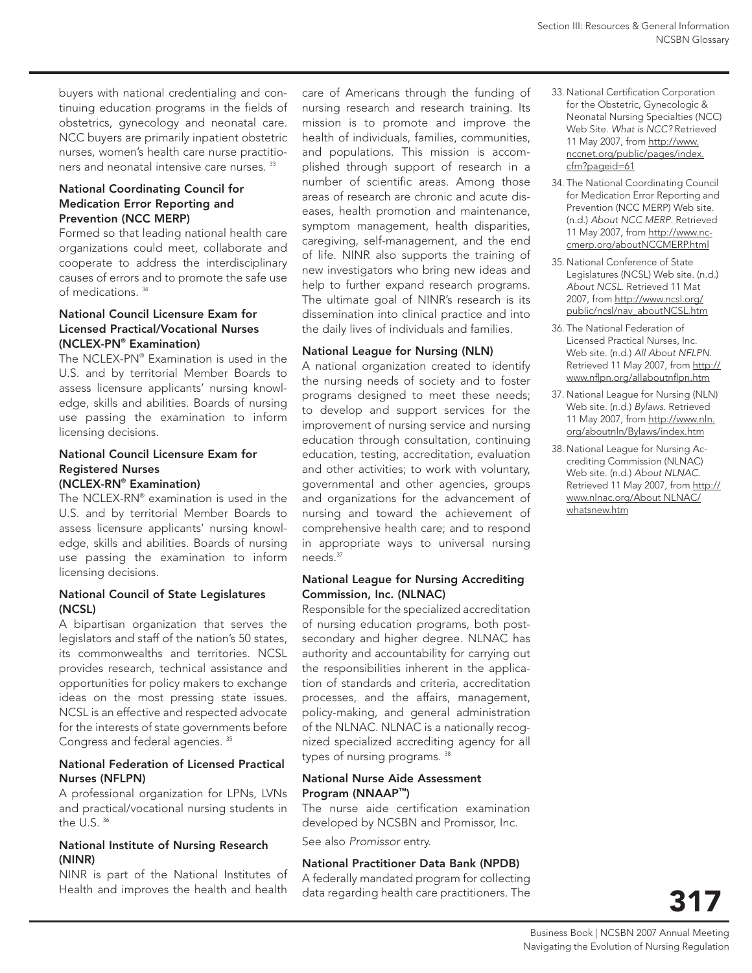buyers with national credentialing and continuing education programs in the fields of obstetrics, gynecology and neonatal care. NCC buyers are primarily inpatient obstetric nurses, women's health care nurse practitioners and neonatal intensive care nurses.<sup>33</sup>

#### **National Coordinating Council for Medication Error Reporting and Prevention (NCC MERP)**

Formed so that leading national health care organizations could meet, collaborate and cooperate to address the interdisciplinary causes of errors and to promote the safe use of medications.<sup>34</sup>

#### **National Council Licensure Exam for Licensed Practical/Vocational Nurses (NCLEX-PN® Examination)**

The NCLEX-PN® Examination is used in the U.S. and by territorial Member Boards to assess licensure applicants' nursing knowledge, skills and abilities. Boards of nursing use passing the examination to inform licensing decisions.

#### **National Council Licensure Exam for Registered Nurses (NCLEX-RN® Examination)**

The NCLEX-RN® examination is used in the U.S. and by territorial Member Boards to assess licensure applicants' nursing knowledge, skills and abilities. Boards of nursing use passing the examination to inform licensing decisions.

#### **National Council of State Legislatures (NCSL)**

A bipartisan organization that serves the legislators and staff of the nation's 50 states, its commonwealths and territories. NCSL provides research, technical assistance and opportunities for policy makers to exchange ideas on the most pressing state issues. NCSL is an effective and respected advocate for the interests of state governments before Congress and federal agencies. 35

#### **National Federation of Licensed Practical Nurses (NFLPN)**

A professional organization for LPNs, LVNs and practical/vocational nursing students in the U.S. <sup>36</sup>

#### **National Institute of Nursing Research (NINR)**

NINR is part of the National Institutes of Health and improves the health and health

care of Americans through the funding of nursing research and research training. Its mission is to promote and improve the health of individuals, families, communities, and populations. This mission is accomplished through support of research in a number of scientific areas. Among those areas of research are chronic and acute diseases, health promotion and maintenance, symptom management, health disparities, caregiving, self-management, and the end of life. NINR also supports the training of new investigators who bring new ideas and help to further expand research programs. The ultimate goal of NINR's research is its dissemination into clinical practice and into the daily lives of individuals and families.

#### **National League for Nursing (NLN)**

A national organization created to identify the nursing needs of society and to foster programs designed to meet these needs; to develop and support services for the improvement of nursing service and nursing education through consultation, continuing education, testing, accreditation, evaluation and other activities; to work with voluntary, governmental and other agencies, groups and organizations for the advancement of nursing and toward the achievement of comprehensive health care; and to respond in appropriate ways to universal nursing needs.37

#### **National League for Nursing Accrediting Commission, Inc. (NLNAC)**

Responsible for the specialized accreditation of nursing education programs, both postsecondary and higher degree. NLNAC has authority and accountability for carrying out the responsibilities inherent in the application of standards and criteria, accreditation processes, and the affairs, management, policy-making, and general administration of the NLNAC. NLNAC is a nationally recognized specialized accrediting agency for all types of nursing programs.<sup>3</sup>

#### **National Nurse Aide Assessment Program (NNAAP™)**

The nurse aide certification examination developed by NCSBN and Promissor, Inc.

See also Promissor entry.

#### **National Practitioner Data Bank (NPDB)**

A federally mandated program for collecting data regarding health care practitioners. The

- 33. National Certification Corporation for the Obstetric, Gynecologic & Neonatal Nursing Specialties (NCC) Web Site. What is NCC? Retrieved 11 May 2007, from http://www. nccnet.org/public/pages/index. cfm?pageid=61
- 34. The National Coordinating Council for Medication Error Reporting and Prevention (NCC MERP) Web site. (n.d.) About NCC MERP. Retrieved 11 May 2007, from http://www.nccmerp.org/aboutNCCMERP.html
- 35. National Conference of State Legislatures (NCSL) Web site. (n.d.) About NCSL. Retrieved 11 Mat 2007, from http://www.ncsl.org/ public/ncsl/nav\_aboutNCSL.htm
- 36. The National Federation of Licensed Practical Nurses, Inc. Web site. (n.d.) All About NFLPN. Retrieved 11 May 2007, from http:// www.nflpn.org/allaboutnflpn.htm
- 37. National League for Nursing (NLN) Web site. (n.d.) Bylaws. Retrieved 11 May 2007, from http://www.nln. org/aboutnln/Bylaws/index.htm
- 38. National League for Nursing Accrediting Commission (NLNAC) Web site. (n.d.) About NLNAC. Retrieved 11 May 2007, from http:// www.nlnac.org/About NLNAC/ whatsnew.htm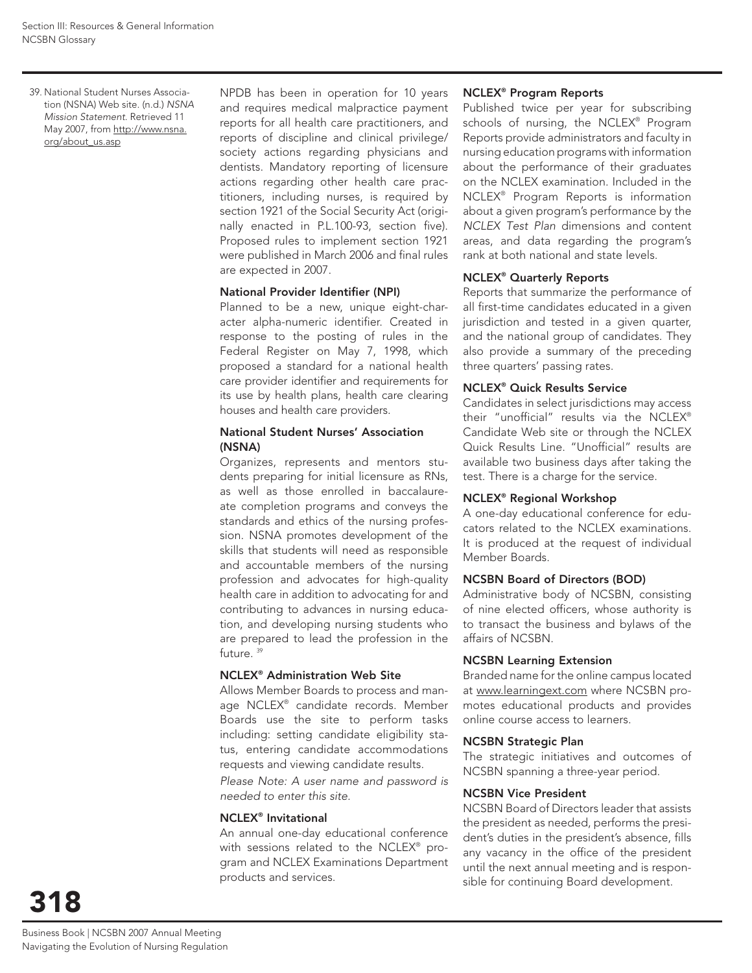39. National Student Nurses Association (NSNA) Web site. (n.d.) NSNA Mission Statement. Retrieved 11 May 2007, from http://www.nsna. org/about\_us.asp

NPDB has been in operation for 10 years and requires medical malpractice payment reports for all health care practitioners, and reports of discipline and clinical privilege/ society actions regarding physicians and dentists. Mandatory reporting of licensure actions regarding other health care practitioners, including nurses, is required by section 1921 of the Social Security Act (originally enacted in P.L.100-93, section five). Proposed rules to implement section 1921 were published in March 2006 and final rules are expected in 2007.

#### **National Provider Identifier (NPI)**

Planned to be a new, unique eight-character alpha-numeric identifier. Created in response to the posting of rules in the Federal Register on May 7, 1998, which proposed a standard for a national health care provider identifier and requirements for its use by health plans, health care clearing houses and health care providers.

#### **National Student Nurses' Association (NSNA)**

Organizes, represents and mentors students preparing for initial licensure as RNs, as well as those enrolled in baccalaureate completion programs and conveys the standards and ethics of the nursing profession. NSNA promotes development of the skills that students will need as responsible and accountable members of the nursing profession and advocates for high-quality health care in addition to advocating for and contributing to advances in nursing education, and developing nursing students who are prepared to lead the profession in the future.<sup>39</sup>

#### **NCLEX® Administration Web Site**

Allows Member Boards to process and manage NCLEX® candidate records. Member Boards use the site to perform tasks including: setting candidate eligibility status, entering candidate accommodations requests and viewing candidate results.

Please Note: A user name and password is needed to enter this site.

#### **NCLEX® Invitational**

An annual one-day educational conference with sessions related to the NCLEX® program and NCLEX Examinations Department products and services.

#### **NCLEX® Program Reports**

Published twice per year for subscribing schools of nursing, the NCLEX® Program Reports provide administrators and faculty in nursing education programs with information about the performance of their graduates on the NCLEX examination. Included in the NCLEX® Program Reports is information about a given program's performance by the NCLEX Test Plan dimensions and content areas, and data regarding the program's rank at both national and state levels.

#### **NCLEX® Quarterly Reports**

Reports that summarize the performance of all first-time candidates educated in a given jurisdiction and tested in a given quarter, and the national group of candidates. They also provide a summary of the preceding three quarters' passing rates.

#### **NCLEX® Quick Results Service**

Candidates in select jurisdictions may access their "unofficial" results via the NCLEX® Candidate Web site or through the NCLEX Quick Results Line. "Unofficial" results are available two business days after taking the test. There is a charge for the service.

#### **NCLEX® Regional Workshop**

A one-day educational conference for educators related to the NCLEX examinations. It is produced at the request of individual Member Boards.

#### **NCSBN Board of Directors (BOD)**

Administrative body of NCSBN, consisting of nine elected officers, whose authority is to transact the business and bylaws of the affairs of NCSBN.

#### **NCSBN Learning Extension**

Branded name for the online campus located at www.learningext.com where NCSBN promotes educational products and provides online course access to learners.

#### **NCSBN Strategic Plan**

The strategic initiatives and outcomes of NCSBN spanning a three-year period.

#### **NCSBN Vice President**

NCSBN Board of Directors leader that assists the president as needed, performs the president's duties in the president's absence, fills any vacancy in the office of the president until the next annual meeting and is responsible for continuing Board development.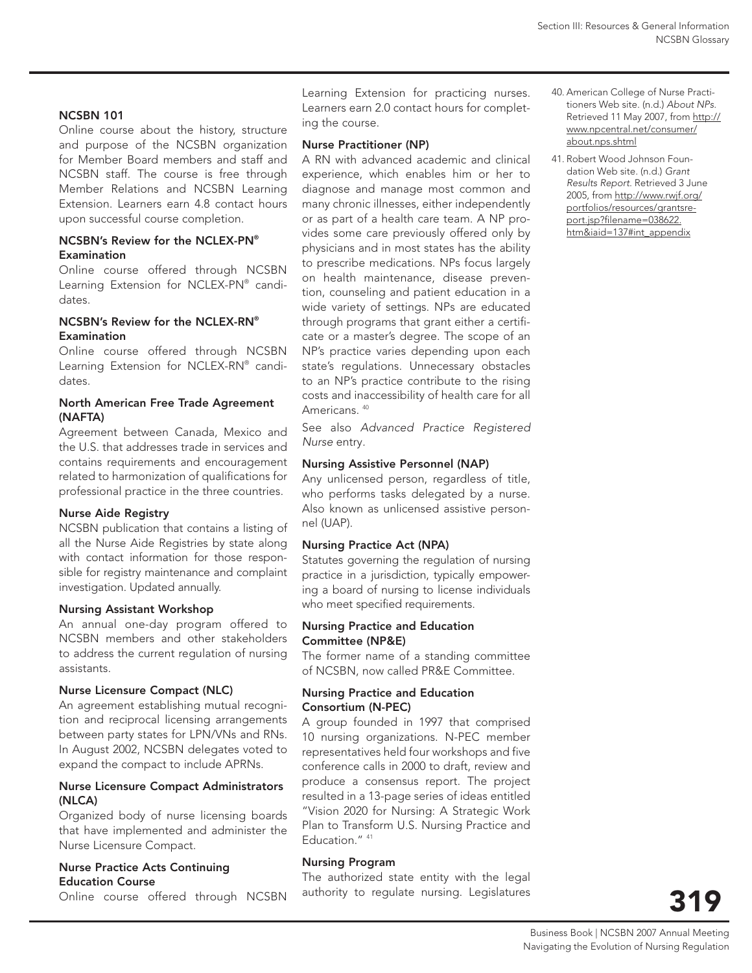#### **NCSBN 101**

Online course about the history, structure and purpose of the NCSBN organization for Member Board members and staff and NCSBN staff. The course is free through Member Relations and NCSBN Learning Extension. Learners earn 4.8 contact hours upon successful course completion.

#### **NCSBN's Review for the NCLEX-PN® Examination**

Online course offered through NCSBN Learning Extension for NCLEX-PN® candidates.

#### **NCSBN's Review for the NCLEX-RN® Examination**

Online course offered through NCSBN Learning Extension for NCLEX-RN® candidates.

#### **North American Free Trade Agreement (NAFTA)**

Agreement between Canada, Mexico and the U.S. that addresses trade in services and contains requirements and encouragement related to harmonization of qualifications for professional practice in the three countries.

#### **Nurse Aide Registry**

NCSBN publication that contains a listing of all the Nurse Aide Registries by state along with contact information for those responsible for registry maintenance and complaint investigation. Updated annually.

#### **Nursing Assistant Workshop**

An annual one-day program offered to NCSBN members and other stakeholders to address the current regulation of nursing assistants.

#### **Nurse Licensure Compact (NLC)**

An agreement establishing mutual recognition and reciprocal licensing arrangements between party states for LPN/VNs and RNs. In August 2002, NCSBN delegates voted to expand the compact to include APRNs.

#### **Nurse Licensure Compact Administrators (NLCA)**

Organized body of nurse licensing boards that have implemented and administer the Nurse Licensure Compact.

#### **Nurse Practice Acts Continuing Education Course**

Online course offered through NCSBN

Learning Extension for practicing nurses. Learners earn 2.0 contact hours for completing the course.

#### **Nurse Practitioner (NP)**

A RN with advanced academic and clinical experience, which enables him or her to diagnose and manage most common and many chronic illnesses, either independently or as part of a health care team. A NP provides some care previously offered only by physicians and in most states has the ability to prescribe medications. NPs focus largely on health maintenance, disease prevention, counseling and patient education in a wide variety of settings. NPs are educated through programs that grant either a certificate or a master's degree. The scope of an NP's practice varies depending upon each state's regulations. Unnecessary obstacles to an NP's practice contribute to the rising costs and inaccessibility of health care for all Americans.<sup>40</sup>

See also Advanced Practice Registered Nurse entry.

#### **Nursing Assistive Personnel (NAP)**

Any unlicensed person, regardless of title, who performs tasks delegated by a nurse. Also known as unlicensed assistive personnel (UAP).

#### **Nursing Practice Act (NPA)**

Statutes governing the regulation of nursing practice in a jurisdiction, typically empowering a board of nursing to license individuals who meet specified requirements.

#### **Nursing Practice and Education Committee (NP&E)**

The former name of a standing committee of NCSBN, now called PR&E Committee.

#### **Nursing Practice and Education Consortium (N-PEC)**

A group founded in 1997 that comprised 10 nursing organizations. N-PEC member representatives held four workshops and five conference calls in 2000 to draft, review and produce a consensus report. The project resulted in a 13-page series of ideas entitled "Vision 2020 for Nursing: A Strategic Work Plan to Transform U.S. Nursing Practice and Education." 41

#### **Nursing Program**

The authorized state entity with the legal authority to regulate nursing. Legislatures

- 40. American College of Nurse Practitioners Web site. (n.d.) About NPs. Retrieved 11 May 2007, from http:// www.npcentral.net/consumer/ about.nps.shtml
- 41. Robert Wood Johnson Foundation Web site. (n.d.) Grant Results Report. Retrieved 3 June 2005, from http://www.rwjf.org/ portfolios/resources/grantsreport.jsp?filename=038622. htm&iaid=137#int\_appendix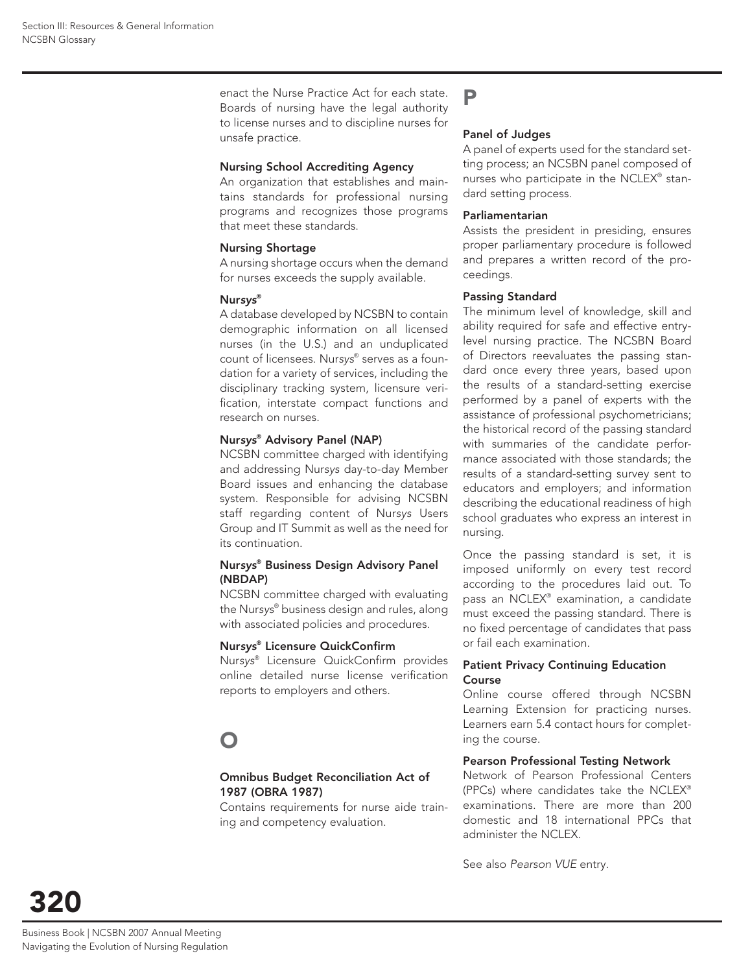enact the Nurse Practice Act for each state. Boards of nursing have the legal authority to license nurses and to discipline nurses for unsafe practice.

#### **Nursing School Accrediting Agency**

An organization that establishes and maintains standards for professional nursing programs and recognizes those programs that meet these standards.

#### **Nursing Shortage**

A nursing shortage occurs when the demand for nurses exceeds the supply available.

#### **Nur***sys***®**

A database developed by NCSBN to contain demographic information on all licensed nurses (in the U.S.) and an unduplicated count of licensees. Nursys® serves as a foundation for a variety of services, including the disciplinary tracking system, licensure verification, interstate compact functions and research on nurses.

#### **Nur***sys***® Advisory Panel (NAP)**

NCSBN committee charged with identifying and addressing Nursys day-to-day Member Board issues and enhancing the database system. Responsible for advising NCSBN staff regarding content of Nursys Users Group and IT Summit as well as the need for its continuation.

#### **Nur***sys***® Business Design Advisory Panel (NBDAP)**

NCSBN committee charged with evaluating the Nursys® business design and rules, along with associated policies and procedures.

#### **Nur***sys***® Licensure QuickConfirm**

Nursys® Licensure QuickConfirm provides online detailed nurse license verification reports to employers and others.

# **O**

#### **Omnibus Budget Reconciliation Act of 1987 (OBRA 1987)**

Contains requirements for nurse aide training and competency evaluation.

### **P**

#### **Panel of Judges**

A panel of experts used for the standard setting process; an NCSBN panel composed of nurses who participate in the NCLEX® standard setting process.

#### **Parliamentarian**

Assists the president in presiding, ensures proper parliamentary procedure is followed and prepares a written record of the proceedings.

#### **Passing Standard**

The minimum level of knowledge, skill and ability required for safe and effective entrylevel nursing practice. The NCSBN Board of Directors reevaluates the passing standard once every three years, based upon the results of a standard-setting exercise performed by a panel of experts with the assistance of professional psychometricians; the historical record of the passing standard with summaries of the candidate performance associated with those standards; the results of a standard-setting survey sent to educators and employers; and information describing the educational readiness of high school graduates who express an interest in nursing.

Once the passing standard is set, it is imposed uniformly on every test record according to the procedures laid out. To pass an NCLEX® examination, a candidate must exceed the passing standard. There is no fixed percentage of candidates that pass or fail each examination.

#### **Patient Privacy Continuing Education Course**

Online course offered through NCSBN Learning Extension for practicing nurses. Learners earn 5.4 contact hours for completing the course.

#### **Pearson Professional Testing Network**

Network of Pearson Professional Centers (PPCs) where candidates take the NCLEX® examinations. There are more than 200 domestic and 18 international PPCs that administer the NCLEX.

See also Pearson VUE entry.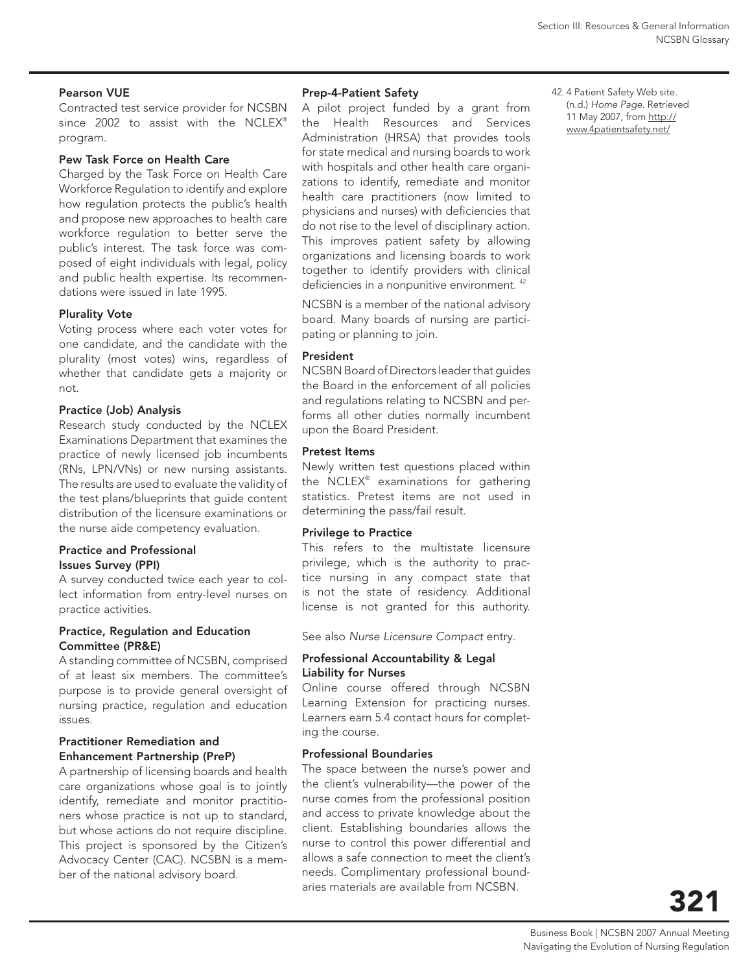#### **Pearson VUE**

Contracted test service provider for NCSBN since 2002 to assist with the NCLEX® program.

#### **Pew Task Force on Health Care**

Charged by the Task Force on Health Care Workforce Regulation to identify and explore how regulation protects the public's health and propose new approaches to health care workforce regulation to better serve the public's interest. The task force was composed of eight individuals with legal, policy and public health expertise. Its recommendations were issued in late 1995.

#### **Plurality Vote**

Voting process where each voter votes for one candidate, and the candidate with the plurality (most votes) wins, regardless of whether that candidate gets a majority or not.

#### **Practice (Job) Analysis**

Research study conducted by the NCLEX Examinations Department that examines the practice of newly licensed job incumbents (RNs, LPN/VNs) or new nursing assistants. The results are used to evaluate the validity of the test plans/blueprints that guide content distribution of the licensure examinations or the nurse aide competency evaluation.

#### **Practice and Professional Issues Survey (PPI)**

A survey conducted twice each year to collect information from entry-level nurses on practice activities.

#### **Practice, Regulation and Education Committee (PR&E)**

A standing committee of NCSBN, comprised of at least six members. The committee's purpose is to provide general oversight of nursing practice, regulation and education issues.

#### **Practitioner Remediation and Enhancement Partnership (PreP)**

A partnership of licensing boards and health care organizations whose goal is to jointly identify, remediate and monitor practitioners whose practice is not up to standard, but whose actions do not require discipline. This project is sponsored by the Citizen's Advocacy Center (CAC). NCSBN is a member of the national advisory board.

#### **Prep-4-Patient Safety**

A pilot project funded by a grant from the Health Resources and Services Administration (HRSA) that provides tools for state medical and nursing boards to work with hospitals and other health care organizations to identify, remediate and monitor health care practitioners (now limited to physicians and nurses) with deficiencies that do not rise to the level of disciplinary action. This improves patient safety by allowing organizations and licensing boards to work together to identify providers with clinical deficiencies in a nonpunitive environment.<sup>42</sup>

NCSBN is a member of the national advisory board. Many boards of nursing are participating or planning to join.

#### **President**

NCSBN Board of Directors leader that guides the Board in the enforcement of all policies and regulations relating to NCSBN and performs all other duties normally incumbent upon the Board President.

#### **Pretest Items**

Newly written test questions placed within the NCLEX® examinations for gathering statistics. Pretest items are not used in determining the pass/fail result.

#### **Privilege to Practice**

This refers to the multistate licensure privilege, which is the authority to practice nursing in any compact state that is not the state of residency. Additional license is not granted for this authority.

See also Nurse Licensure Compact entry.

#### **Professional Accountability & Legal Liability for Nurses**

Online course offered through NCSBN Learning Extension for practicing nurses. Learners earn 5.4 contact hours for completing the course.

#### **Professional Boundaries**

The space between the nurse's power and the client's vulnerability—the power of the nurse comes from the professional position and access to private knowledge about the client. Establishing boundaries allows the nurse to control this power differential and allows a safe connection to meet the client's needs. Complimentary professional boundaries materials are available from NCSBN.

42. 4 Patient Safety Web site. (n.d.) Home Page. Retrieved 11 May 2007, from http:// www.4patientsafety.net/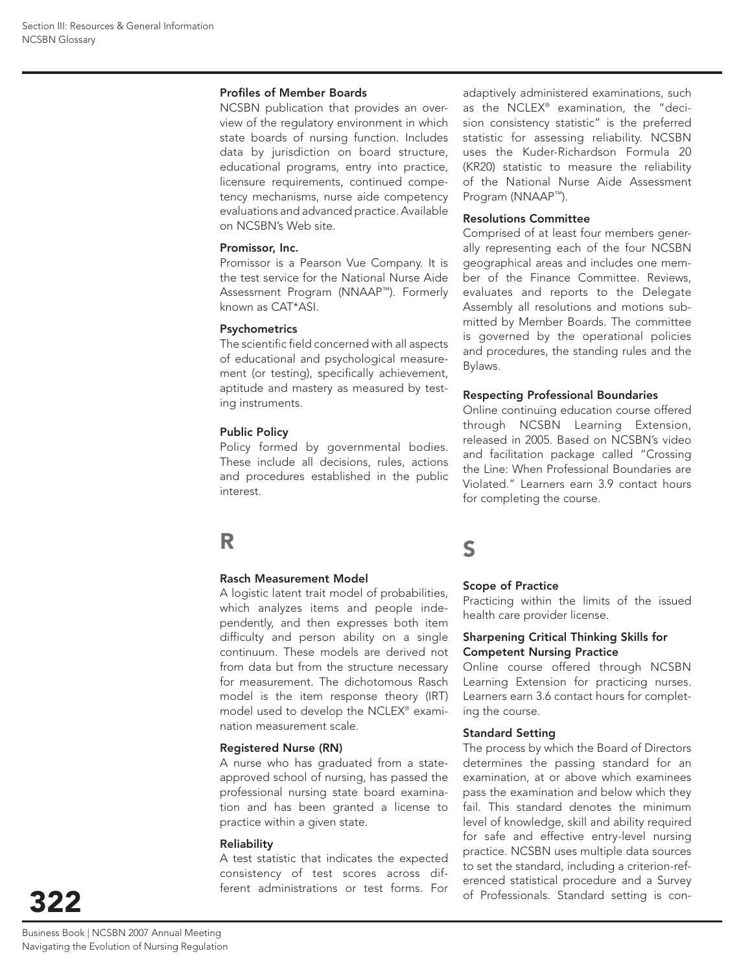#### **Profiles of Member Boards**

NCSBN publication that provides an overview of the regulatory environment in which state boards of nursing function. Includes data by jurisdiction on board structure, educational programs, entry into practice, licensure requirements, continued competency mechanisms, nurse aide competency evaluations and advanced practice. Available on NCSBN's Web site.

#### **Promissor, Inc.**

Promissor is a Pearson Vue Company. It is the test service for the National Nurse Aide Assessment Program (NNAAP™). Formerly known as CAT\*ASI.

#### **Psychometrics**

The scientific field concerned with all aspects of educational and psychological measurement (or testing), specifically achievement, aptitude and mastery as measured by testing instruments.

#### **Public Policy**

Policy formed by governmental bodies. These include all decisions, rules, actions and procedures established in the public interest.

# **R**

#### **Rasch Measurement Model**

A logistic latent trait model of probabilities, which analyzes items and people independently, and then expresses both item difficulty and person ability on a single continuum. These models are derived not from data but from the structure necessary for measurement. The dichotomous Rasch model is the item response theory (IRT) model used to develop the NCLEX® examination measurement scale.

#### **Registered Nurse (RN)**

A nurse who has graduated from a stateapproved school of nursing, has passed the professional nursing state board examination and has been granted a license to practice within a given state.

#### **Reliability**

A test statistic that indicates the expected consistency of test scores across different administrations or test forms. For

adaptively administered examinations, such as the NCLEX® examination, the "decision consistency statistic" is the preferred statistic for assessing reliability. NCSBN uses the Kuder-Richardson Formula 20 (KR20) statistic to measure the reliability of the National Nurse Aide Assessment Program (NNAAP™).

#### **Resolutions Committee**

Comprised of at least four members generally representing each of the four NCSBN geographical areas and includes one member of the Finance Committee. Reviews, evaluates and reports to the Delegate Assembly all resolutions and motions submitted by Member Boards. The committee is governed by the operational policies and procedures, the standing rules and the Bylaws.

#### **Respecting Professional Boundaries**

Online continuing education course offered through NCSBN Learning Extension, released in 2005. Based on NCSBN's video and facilitation package called "Crossing the Line: When Professional Boundaries are Violated." Learners earn 3.9 contact hours for completing the course.

# **S**

#### **Scope of Practice**

Practicing within the limits of the issued health care provider license.

#### **Sharpening Critical Thinking Skills for Competent Nursing Practice**

Online course offered through NCSBN Learning Extension for practicing nurses. Learners earn 3.6 contact hours for completing the course.

#### **Standard Setting**

The process by which the Board of Directors determines the passing standard for an examination, at or above which examinees pass the examination and below which they fail. This standard denotes the minimum level of knowledge, skill and ability required for safe and effective entry-level nursing practice. NCSBN uses multiple data sources to set the standard, including a criterion-referenced statistical procedure and a Survey of Professionals. Standard setting is con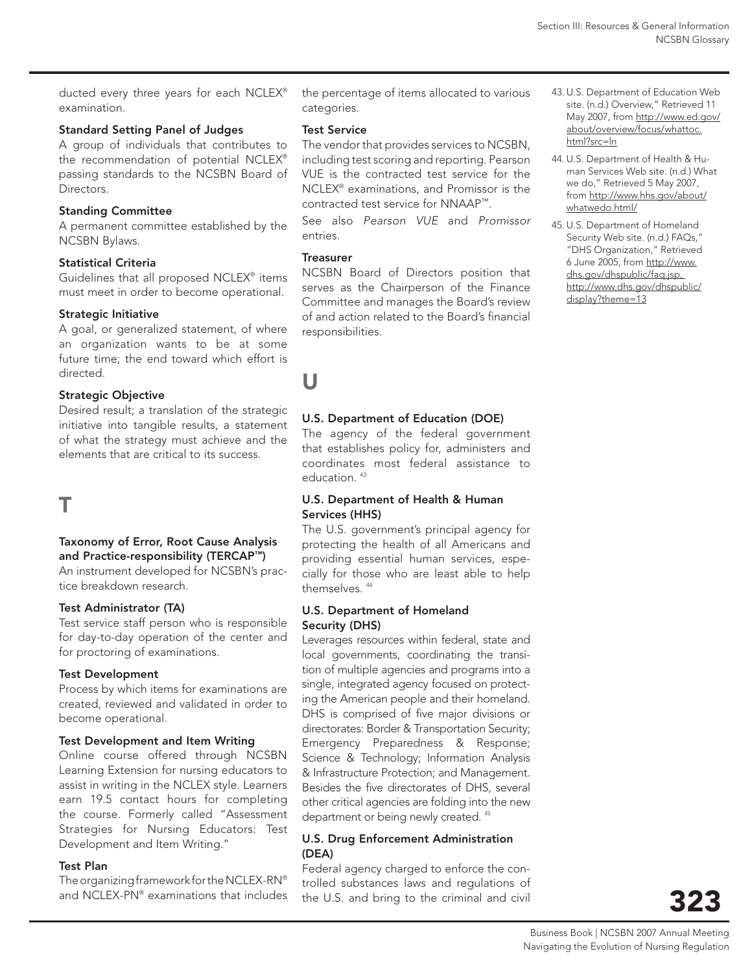ducted every three years for each NCLEX® examination.

#### **Standard Setting Panel of Judges**

A group of individuals that contributes to the recommendation of potential NCLEX® passing standards to the NCSBN Board of Directors.

#### **Standing Committee**

A permanent committee established by the NCSBN Bylaws.

#### **Statistical Criteria**

Guidelines that all proposed NCLEX® items must meet in order to become operational.

#### **Strategic Initiative**

A goal, or generalized statement, of where an organization wants to be at some future time; the end toward which effort is directed.

#### **Strategic Objective**

Desired result; a translation of the strategic initiative into tangible results, a statement of what the strategy must achieve and the elements that are critical to its success.

# **T**

#### **Taxonomy of Error, Root Cause Analysis and Practice-responsibility (TERCAP™)**

An instrument developed for NCSBN's practice breakdown research.

#### **Test Administrator (TA)**

Test service staff person who is responsible for day-to-day operation of the center and for proctoring of examinations.

#### **Test Development**

Process by which items for examinations are created, reviewed and validated in order to become operational.

#### **Test Development and Item Writing**

Online course offered through NCSBN Learning Extension for nursing educators to assist in writing in the NCLEX style. Learners earn 19.5 contact hours for completing the course. Formerly called "Assessment Strategies for Nursing Educators: Test Development and Item Writing."

#### **Test Plan**

The organizing framework for the NCLEX-RN® and NCLEX-PN® examinations that includes the percentage of items allocated to various categories.

#### **Test Service**

The vendor that provides services to NCSBN, including test scoring and reporting. Pearson VUE is the contracted test service for the NCLEX® examinations, and Promissor is the contracted test service for NNAAP™.

See also Pearson VUE and Promissor entries.

#### **Treasurer**

NCSBN Board of Directors position that serves as the Chairperson of the Finance Committee and manages the Board's review of and action related to the Board's financial responsibilities.

# **U**

#### **U.S. Department of Education (DOE)**

The agency of the federal government that establishes policy for, administers and coordinates most federal assistance to education.<sup>43</sup>

#### **U.S. Department of Health & Human Services (HHS)**

The U.S. government's principal agency for protecting the health of all Americans and providing essential human services, especially for those who are least able to help themselves.<sup>44</sup>

#### **U.S. Department of Homeland Security (DHS)**

Leverages resources within federal, state and local governments, coordinating the transition of multiple agencies and programs into a single, integrated agency focused on protecting the American people and their homeland. DHS is comprised of five major divisions or directorates: Border & Transportation Security; Emergency Preparedness & Response; Science & Technology; Information Analysis & Infrastructure Protection; and Management. Besides the five directorates of DHS, several other critical agencies are folding into the new department or being newly created.<sup>45</sup>

#### **U.S. Drug Enforcement Administration (DEA)**

Federal agency charged to enforce the controlled substances laws and regulations of the U.S. and bring to the criminal and civil

- 43. U.S. Department of Education Web site. (n.d.) Overview," Retrieved 11 May 2007, from http://www.ed.gov/ about/overview/focus/whattoc. html?src=ln
- 44. U.S. Department of Health & Human Services Web site. (n.d.) What we do," Retrieved 5 May 2007, from http://www.hhs.gov/about/ whatwedo.html/
- 45. U.S. Department of Homeland Security Web site. (n.d.) FAQs," "DHS Organization," Retrieved 6 June 2005, from http://www. dhs.gov/dhspublic/faq.jsp, http://www.dhs.gov/dhspublic/ display?theme=13